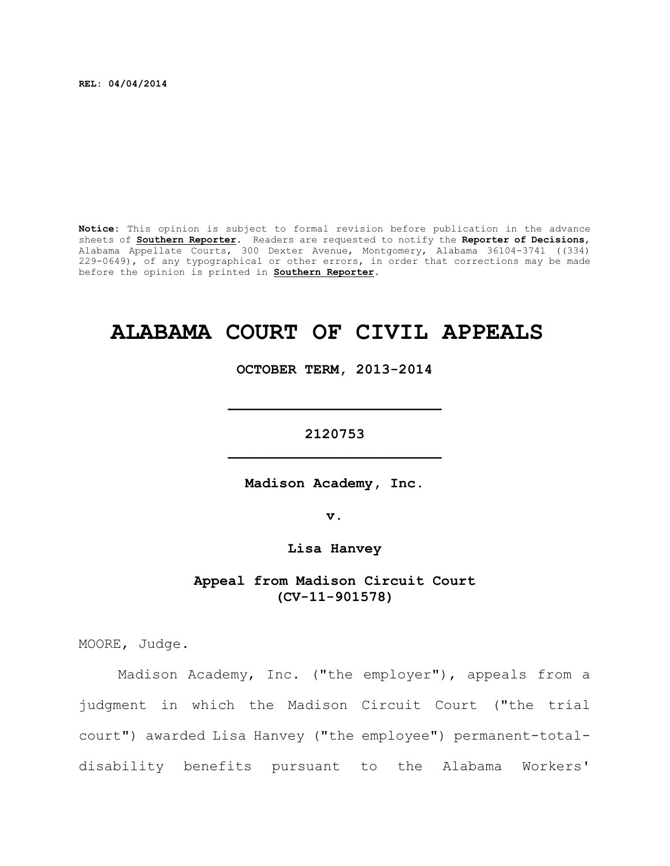**REL: 04/04/2014**

**Notice:** This opinion is subject to formal revision before publication in the advance sheets of **Southern Reporter**. Readers are requested to notify the **Reporter of Decisions**, Alabama Appellate Courts, 300 Dexter Avenue, Montgomery, Alabama 36104-3741 ((334) 229-0649), of any typographical or other errors, in order that corrections may be made before the opinion is printed in **Southern Reporter**.

# **ALABAMA COURT OF CIVIL APPEALS**

**OCTOBER TERM, 2013-2014**

**\_\_\_\_\_\_\_\_\_\_\_\_\_\_\_\_\_\_\_\_\_\_\_\_\_**

**2120753 \_\_\_\_\_\_\_\_\_\_\_\_\_\_\_\_\_\_\_\_\_\_\_\_\_**

**Madison Academy, Inc.**

**v.**

**Lisa Hanvey**

**Appeal from Madison Circuit Court (CV-11-901578)**

MOORE, Judge.

Madison Academy, Inc. ("the employer"), appeals from a judgment in which the Madison Circuit Court ("the trial court") awarded Lisa Hanvey ("the employee") permanent-totaldisability benefits pursuant to the Alabama Workers'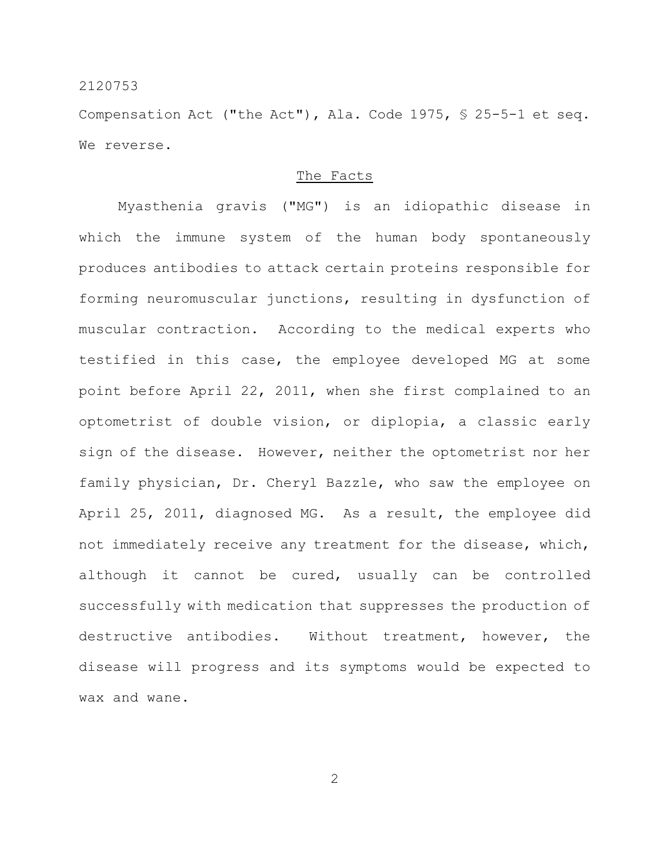Compensation Act ("the Act"), Ala. Code 1975, § 25-5-1 et seq. We reverse.

#### The Facts

Myasthenia gravis ("MG") is an idiopathic disease in which the immune system of the human body spontaneously produces antibodies to attack certain proteins responsible for forming neuromuscular junctions, resulting in dysfunction of muscular contraction. According to the medical experts who testified in this case, the employee developed MG at some point before April 22, 2011, when she first complained to an optometrist of double vision, or diplopia, a classic early sign of the disease. However, neither the optometrist nor her family physician, Dr. Cheryl Bazzle, who saw the employee on April 25, 2011, diagnosed MG. As a result, the employee did not immediately receive any treatment for the disease, which, although it cannot be cured, usually can be controlled successfully with medication that suppresses the production of destructive antibodies. Without treatment, however, the disease will progress and its symptoms would be expected to wax and wane.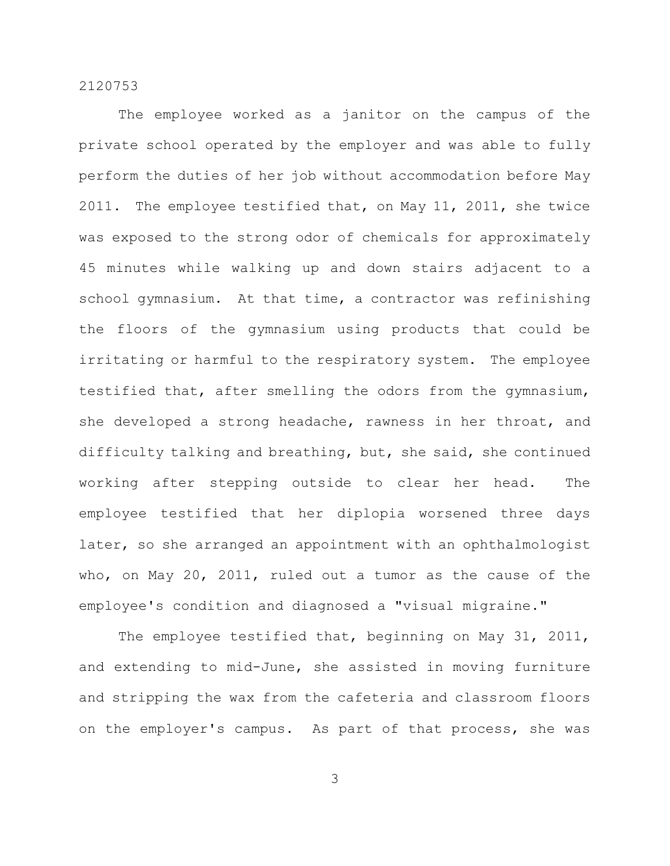The employee worked as a janitor on the campus of the private school operated by the employer and was able to fully perform the duties of her job without accommodation before May 2011. The employee testified that, on May 11, 2011, she twice was exposed to the strong odor of chemicals for approximately 45 minutes while walking up and down stairs adjacent to a school gymnasium. At that time, a contractor was refinishing the floors of the gymnasium using products that could be irritating or harmful to the respiratory system. The employee testified that, after smelling the odors from the gymnasium, she developed a strong headache, rawness in her throat, and difficulty talking and breathing, but, she said, she continued working after stepping outside to clear her head. The employee testified that her diplopia worsened three days later, so she arranged an appointment with an ophthalmologist who, on May 20, 2011, ruled out a tumor as the cause of the employee's condition and diagnosed a "visual migraine."

The employee testified that, beginning on May 31, 2011, and extending to mid-June, she assisted in moving furniture and stripping the wax from the cafeteria and classroom floors on the employer's campus. As part of that process, she was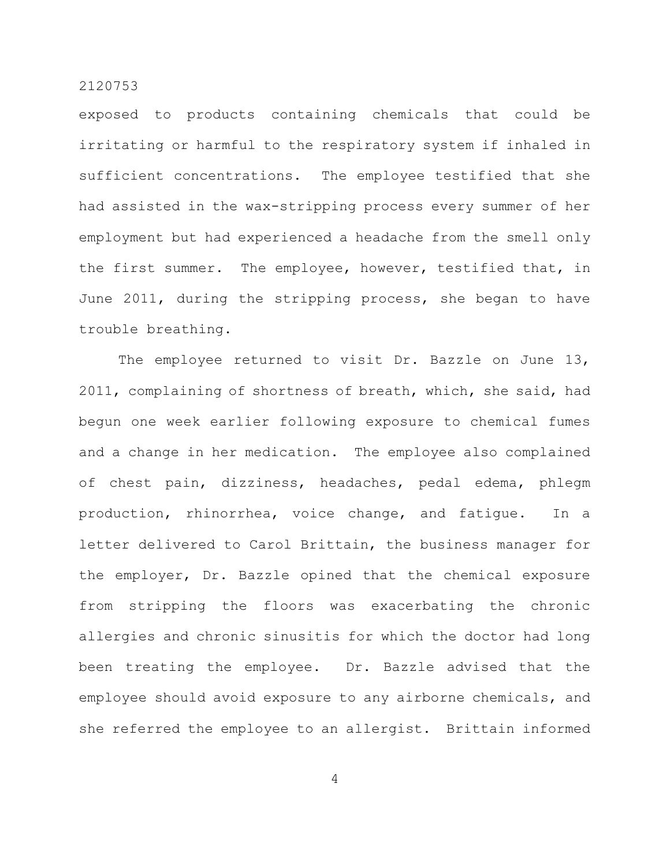exposed to products containing chemicals that could be irritating or harmful to the respiratory system if inhaled in sufficient concentrations. The employee testified that she had assisted in the wax-stripping process every summer of her employment but had experienced a headache from the smell only the first summer. The employee, however, testified that, in June 2011, during the stripping process, she began to have trouble breathing.

The employee returned to visit Dr. Bazzle on June 13, 2011, complaining of shortness of breath, which, she said, had begun one week earlier following exposure to chemical fumes and a change in her medication. The employee also complained of chest pain, dizziness, headaches, pedal edema, phlegm production, rhinorrhea, voice change, and fatigue. In a letter delivered to Carol Brittain, the business manager for the employer, Dr. Bazzle opined that the chemical exposure from stripping the floors was exacerbating the chronic allergies and chronic sinusitis for which the doctor had long been treating the employee. Dr. Bazzle advised that the employee should avoid exposure to any airborne chemicals, and she referred the employee to an allergist. Brittain informed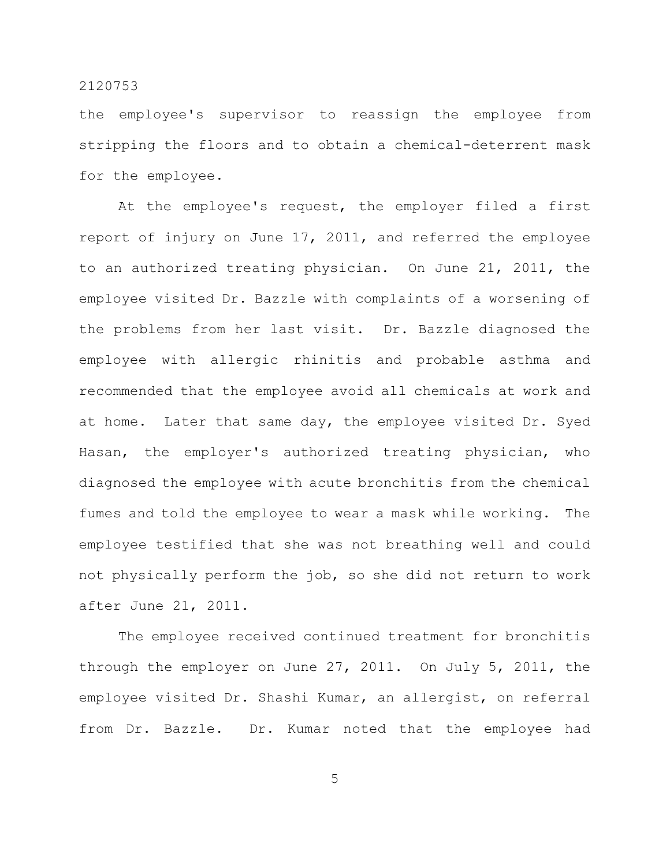the employee's supervisor to reassign the employee from stripping the floors and to obtain a chemical-deterrent mask for the employee.

At the employee's request, the employer filed a first report of injury on June 17, 2011, and referred the employee to an authorized treating physician. On June 21, 2011, the employee visited Dr. Bazzle with complaints of a worsening of the problems from her last visit. Dr. Bazzle diagnosed the employee with allergic rhinitis and probable asthma and recommended that the employee avoid all chemicals at work and at home. Later that same day, the employee visited Dr. Syed Hasan, the employer's authorized treating physician, who diagnosed the employee with acute bronchitis from the chemical fumes and told the employee to wear a mask while working. The employee testified that she was not breathing well and could not physically perform the job, so she did not return to work after June 21, 2011.

The employee received continued treatment for bronchitis through the employer on June 27, 2011. On July 5, 2011, the employee visited Dr. Shashi Kumar, an allergist, on referral from Dr. Bazzle. Dr. Kumar noted that the employee had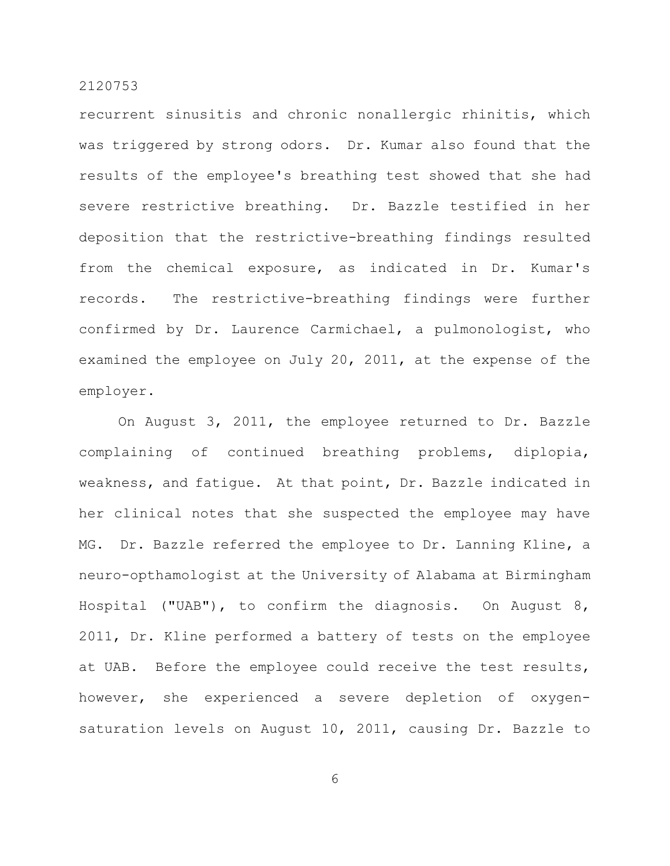recurrent sinusitis and chronic nonallergic rhinitis, which was triggered by strong odors. Dr. Kumar also found that the results of the employee's breathing test showed that she had severe restrictive breathing. Dr. Bazzle testified in her deposition that the restrictive-breathing findings resulted from the chemical exposure, as indicated in Dr. Kumar's records. The restrictive-breathing findings were further confirmed by Dr. Laurence Carmichael, a pulmonologist, who examined the employee on July 20, 2011, at the expense of the employer.

On August 3, 2011, the employee returned to Dr. Bazzle complaining of continued breathing problems, diplopia, weakness, and fatigue. At that point, Dr. Bazzle indicated in her clinical notes that she suspected the employee may have MG. Dr. Bazzle referred the employee to Dr. Lanning Kline, a neuro-opthamologist at the University of Alabama at Birmingham Hospital ("UAB"), to confirm the diagnosis. On August 8, 2011, Dr. Kline performed a battery of tests on the employee at UAB. Before the employee could receive the test results, however, she experienced a severe depletion of oxygensaturation levels on August 10, 2011, causing Dr. Bazzle to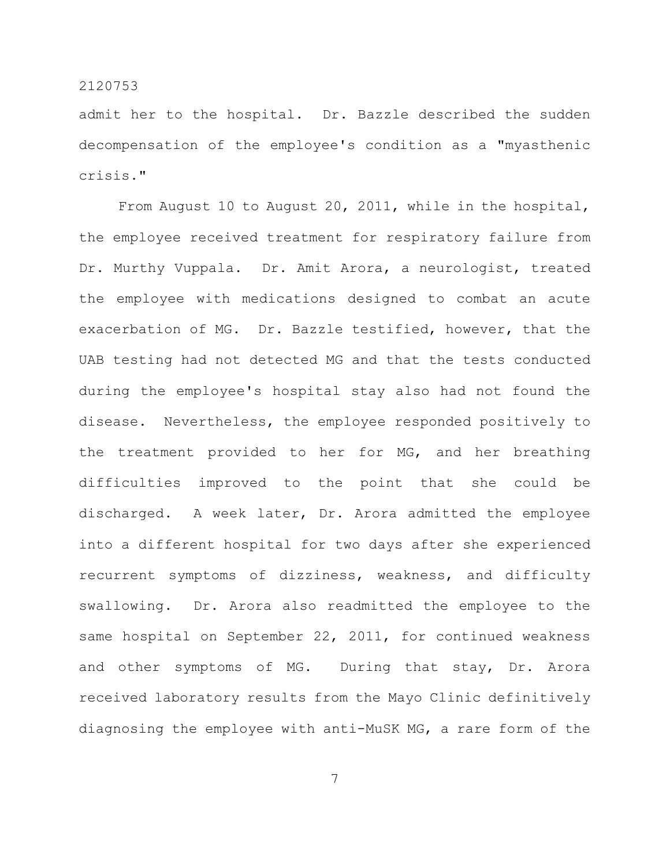admit her to the hospital. Dr. Bazzle described the sudden decompensation of the employee's condition as a "myasthenic crisis."

From August 10 to August 20, 2011, while in the hospital, the employee received treatment for respiratory failure from Dr. Murthy Vuppala. Dr. Amit Arora, a neurologist, treated the employee with medications designed to combat an acute exacerbation of MG. Dr. Bazzle testified, however, that the UAB testing had not detected MG and that the tests conducted during the employee's hospital stay also had not found the disease. Nevertheless, the employee responded positively to the treatment provided to her for MG, and her breathing difficulties improved to the point that she could be discharged. A week later, Dr. Arora admitted the employee into a different hospital for two days after she experienced recurrent symptoms of dizziness, weakness, and difficulty swallowing. Dr. Arora also readmitted the employee to the same hospital on September 22, 2011, for continued weakness and other symptoms of MG. During that stay, Dr. Arora received laboratory results from the Mayo Clinic definitively diagnosing the employee with anti-MuSK MG, a rare form of the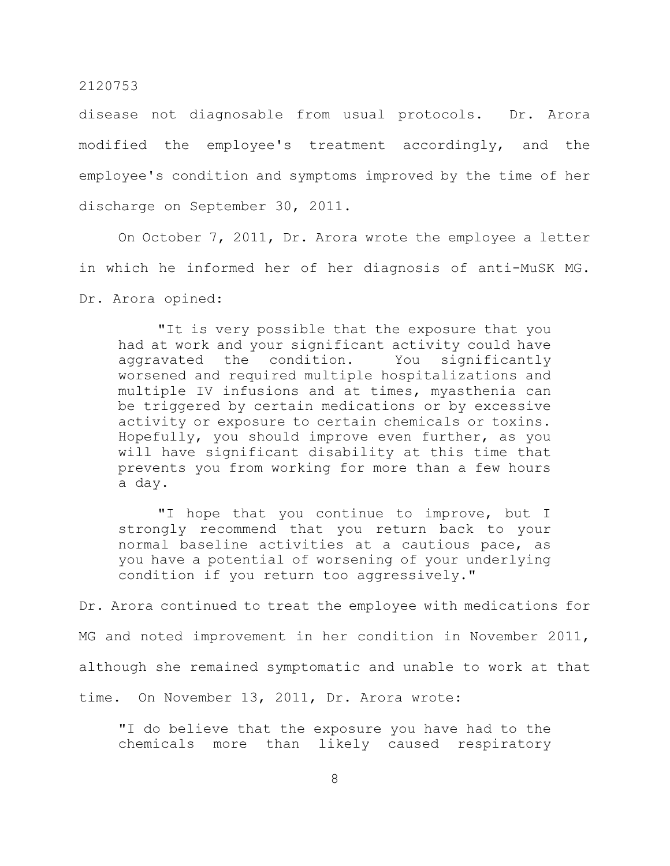disease not diagnosable from usual protocols. Dr. Arora modified the employee's treatment accordingly, and the employee's condition and symptoms improved by the time of her discharge on September 30, 2011.

On October 7, 2011, Dr. Arora wrote the employee a letter in which he informed her of her diagnosis of anti-MuSK MG. Dr. Arora opined:

"It is very possible that the exposure that you had at work and your significant activity could have aggravated the condition. You significantly worsened and required multiple hospitalizations and multiple IV infusions and at times, myasthenia can be triggered by certain medications or by excessive activity or exposure to certain chemicals or toxins. Hopefully, you should improve even further, as you will have significant disability at this time that prevents you from working for more than a few hours a day.

"I hope that you continue to improve, but I strongly recommend that you return back to your normal baseline activities at a cautious pace, as you have a potential of worsening of your underlying condition if you return too aggressively."

Dr. Arora continued to treat the employee with medications for MG and noted improvement in her condition in November 2011, although she remained symptomatic and unable to work at that time. On November 13, 2011, Dr. Arora wrote:

"I do believe that the exposure you have had to the chemicals more than likely caused respiratory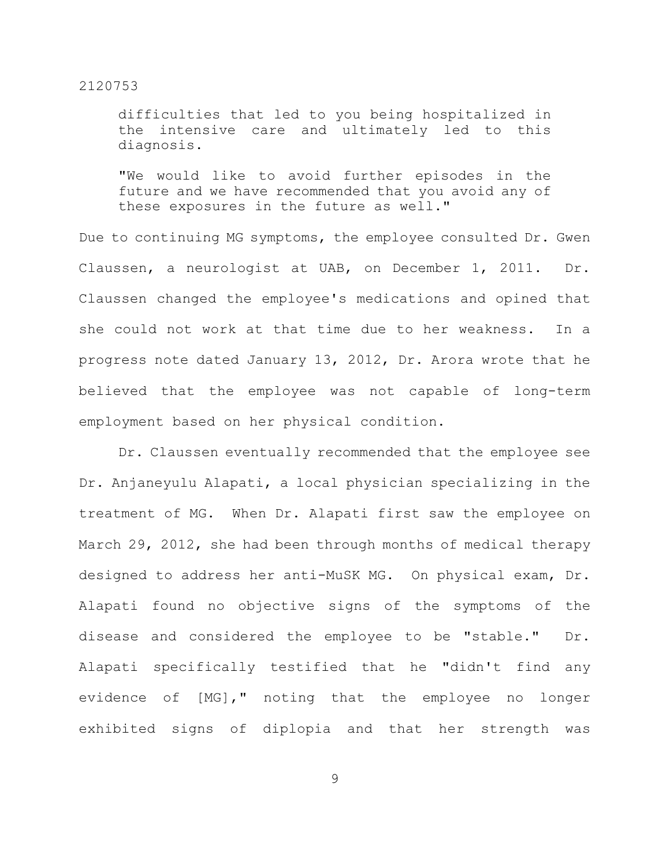difficulties that led to you being hospitalized in the intensive care and ultimately led to this diagnosis.

"We would like to avoid further episodes in the future and we have recommended that you avoid any of these exposures in the future as well."

Due to continuing MG symptoms, the employee consulted Dr. Gwen Claussen, a neurologist at UAB, on December 1, 2011. Dr. Claussen changed the employee's medications and opined that she could not work at that time due to her weakness. In a progress note dated January 13, 2012, Dr. Arora wrote that he believed that the employee was not capable of long-term employment based on her physical condition.

Dr. Claussen eventually recommended that the employee see Dr. Anjaneyulu Alapati, a local physician specializing in the treatment of MG. When Dr. Alapati first saw the employee on March 29, 2012, she had been through months of medical therapy designed to address her anti-MuSK MG. On physical exam, Dr. Alapati found no objective signs of the symptoms of the disease and considered the employee to be "stable." Dr. Alapati specifically testified that he "didn't find any evidence of [MG]," noting that the employee no longer exhibited signs of diplopia and that her strength was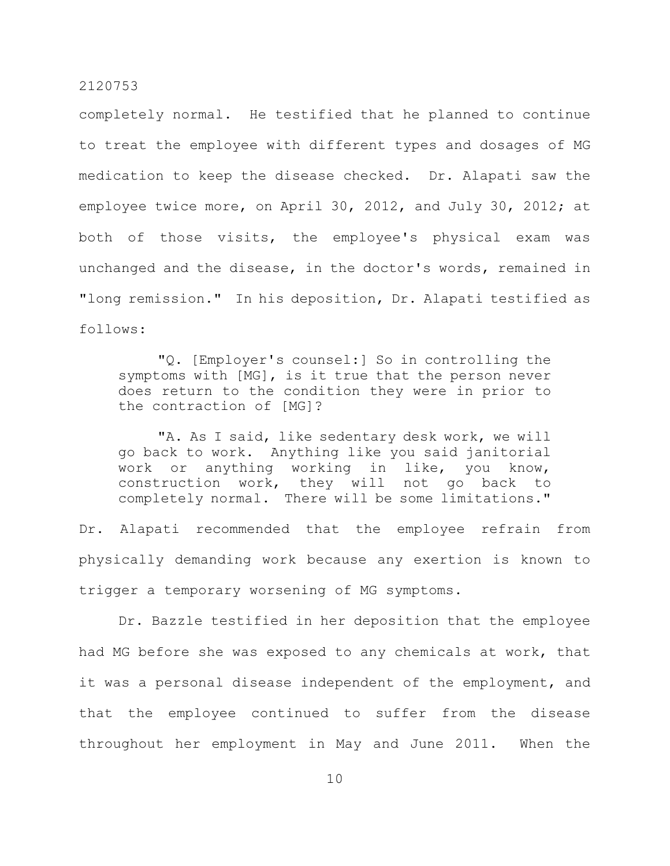completely normal. He testified that he planned to continue to treat the employee with different types and dosages of MG medication to keep the disease checked. Dr. Alapati saw the employee twice more, on April 30, 2012, and July 30, 2012; at both of those visits, the employee's physical exam was unchanged and the disease, in the doctor's words, remained in "long remission." In his deposition, Dr. Alapati testified as follows:

"Q. [Employer's counsel:] So in controlling the symptoms with [MG], is it true that the person never does return to the condition they were in prior to the contraction of [MG]?

"A. As I said, like sedentary desk work, we will go back to work. Anything like you said janitorial work or anything working in like, you know, construction work, they will not go back to completely normal. There will be some limitations."

Dr. Alapati recommended that the employee refrain from physically demanding work because any exertion is known to trigger a temporary worsening of MG symptoms.

Dr. Bazzle testified in her deposition that the employee had MG before she was exposed to any chemicals at work, that it was a personal disease independent of the employment, and that the employee continued to suffer from the disease throughout her employment in May and June 2011. When the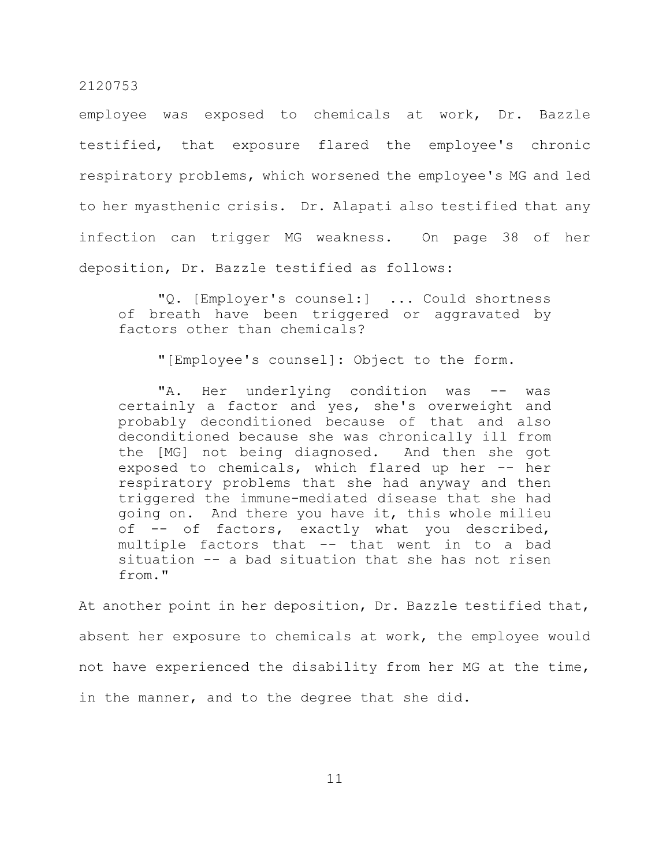employee was exposed to chemicals at work, Dr. Bazzle testified, that exposure flared the employee's chronic respiratory problems, which worsened the employee's MG and led to her myasthenic crisis. Dr. Alapati also testified that any infection can trigger MG weakness. On page 38 of her deposition, Dr. Bazzle testified as follows:

"Q. [Employer's counsel:] ... Could shortness of breath have been triggered or aggravated by factors other than chemicals?

"[Employee's counsel]: Object to the form.

"A. Her underlying condition was -- was certainly a factor and yes, she's overweight and probably deconditioned because of that and also deconditioned because she was chronically ill from the [MG] not being diagnosed. And then she got exposed to chemicals, which flared up her -- her respiratory problems that she had anyway and then triggered the immune-mediated disease that she had going on. And there you have it, this whole milieu of -- of factors, exactly what you described, multiple factors that -- that went in to a bad situation -- a bad situation that she has not risen from."

At another point in her deposition, Dr. Bazzle testified that, absent her exposure to chemicals at work, the employee would not have experienced the disability from her MG at the time, in the manner, and to the degree that she did.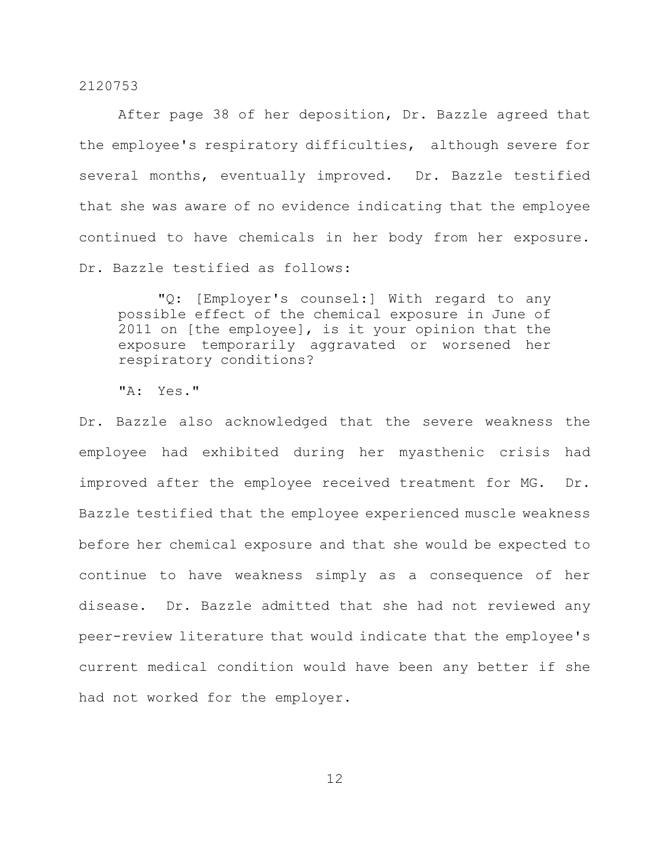After page 38 of her deposition, Dr. Bazzle agreed that the employee's respiratory difficulties, although severe for several months, eventually improved. Dr. Bazzle testified that she was aware of no evidence indicating that the employee continued to have chemicals in her body from her exposure. Dr. Bazzle testified as follows:

"Q: [Employer's counsel:] With regard to any possible effect of the chemical exposure in June of 2011 on [the employee], is it your opinion that the exposure temporarily aggravated or worsened her respiratory conditions?

"A: Yes."

Dr. Bazzle also acknowledged that the severe weakness the employee had exhibited during her myasthenic crisis had improved after the employee received treatment for MG. Dr. Bazzle testified that the employee experienced muscle weakness before her chemical exposure and that she would be expected to continue to have weakness simply as a consequence of her disease. Dr. Bazzle admitted that she had not reviewed any peer-review literature that would indicate that the employee's current medical condition would have been any better if she had not worked for the employer.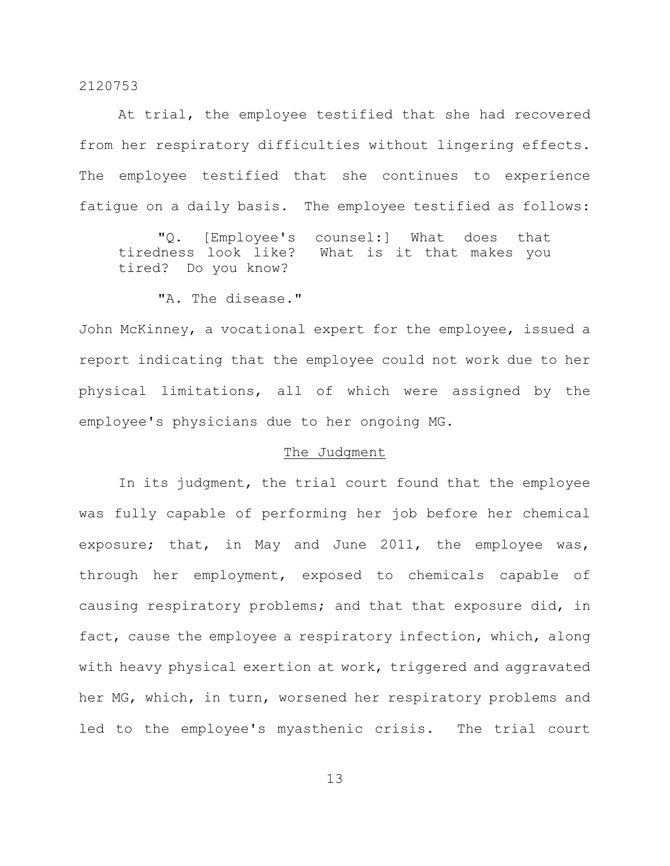At trial, the employee testified that she had recovered from her respiratory difficulties without lingering effects. The employee testified that she continues to experience fatigue on a daily basis. The employee testified as follows:

"Q. [Employee's counsel:] What does that tiredness look like? What is it that makes you tired? Do you know?

"A. The disease."

John McKinney, a vocational expert for the employee, issued a report indicating that the employee could not work due to her physical limitations, all of which were assigned by the employee's physicians due to her ongoing MG.

# The Judgment

In its judgment, the trial court found that the employee was fully capable of performing her job before her chemical exposure; that, in May and June 2011, the employee was, through her employment, exposed to chemicals capable of causing respiratory problems; and that that exposure did, in fact, cause the employee a respiratory infection, which, along with heavy physical exertion at work, triggered and aggravated her MG, which, in turn, worsened her respiratory problems and led to the employee's myasthenic crisis. The trial court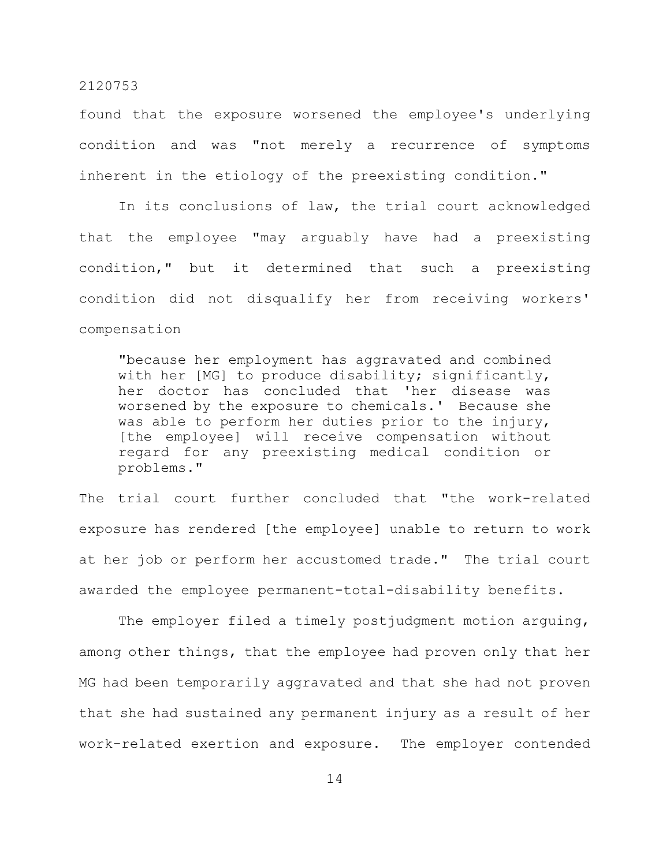found that the exposure worsened the employee's underlying condition and was "not merely a recurrence of symptoms inherent in the etiology of the preexisting condition."

In its conclusions of law, the trial court acknowledged that the employee "may arguably have had a preexisting condition," but it determined that such a preexisting condition did not disqualify her from receiving workers' compensation

"because her employment has aggravated and combined with her [MG] to produce disability; significantly, her doctor has concluded that 'her disease was worsened by the exposure to chemicals.' Because she was able to perform her duties prior to the injury, [the employee] will receive compensation without regard for any preexisting medical condition or problems."

The trial court further concluded that "the work-related exposure has rendered [the employee] unable to return to work at her job or perform her accustomed trade." The trial court awarded the employee permanent-total-disability benefits.

The employer filed a timely postjudgment motion arguing, among other things, that the employee had proven only that her MG had been temporarily aggravated and that she had not proven that she had sustained any permanent injury as a result of her work-related exertion and exposure. The employer contended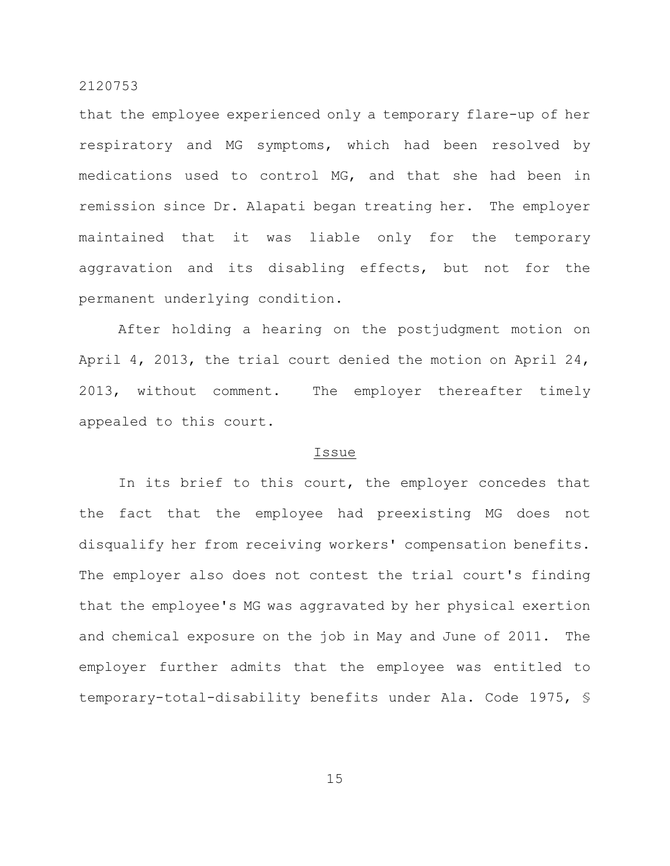that the employee experienced only a temporary flare-up of her respiratory and MG symptoms, which had been resolved by medications used to control MG, and that she had been in remission since Dr. Alapati began treating her. The employer maintained that it was liable only for the temporary aggravation and its disabling effects, but not for the permanent underlying condition.

After holding a hearing on the postjudgment motion on April 4, 2013, the trial court denied the motion on April 24, 2013, without comment. The employer thereafter timely appealed to this court.

#### Issue

In its brief to this court, the employer concedes that the fact that the employee had preexisting MG does not disqualify her from receiving workers' compensation benefits. The employer also does not contest the trial court's finding that the employee's MG was aggravated by her physical exertion and chemical exposure on the job in May and June of 2011. The employer further admits that the employee was entitled to temporary-total-disability benefits under Ala. Code 1975, §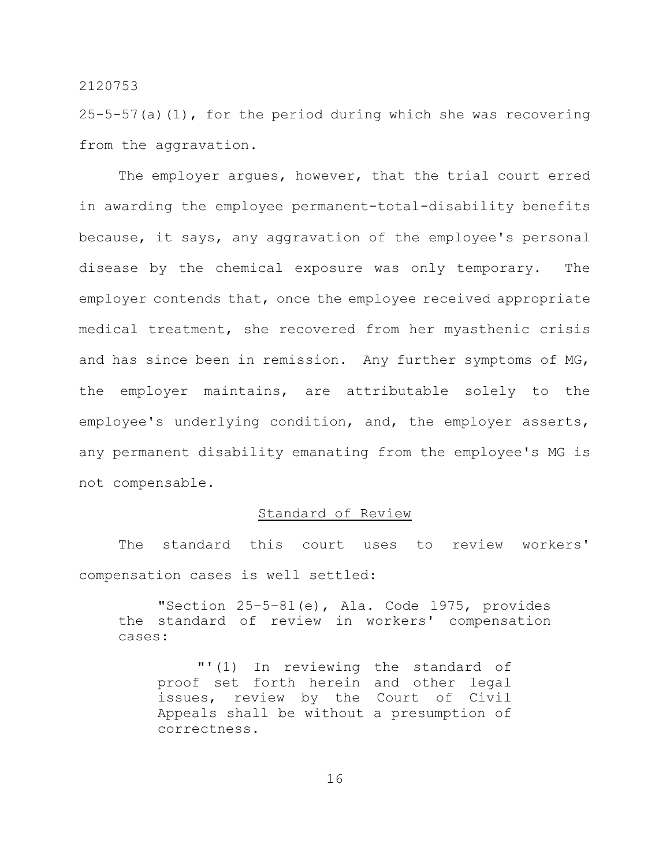25-5-57(a)(1), for the period during which she was recovering from the aggravation.

The employer argues, however, that the trial court erred in awarding the employee permanent-total-disability benefits because, it says, any aggravation of the employee's personal disease by the chemical exposure was only temporary. The employer contends that, once the employee received appropriate medical treatment, she recovered from her myasthenic crisis and has since been in remission. Any further symptoms of MG, the employer maintains, are attributable solely to the employee's underlying condition, and, the employer asserts, any permanent disability emanating from the employee's MG is not compensable.

# Standard of Review

The standard this court uses to review workers' compensation cases is well settled:

"Section 25–5–81(e), Ala. Code 1975, provides the standard of review in workers' compensation cases:

"'(1) In reviewing the standard of proof set forth herein and other legal issues, review by the Court of Civil Appeals shall be without a presumption of correctness.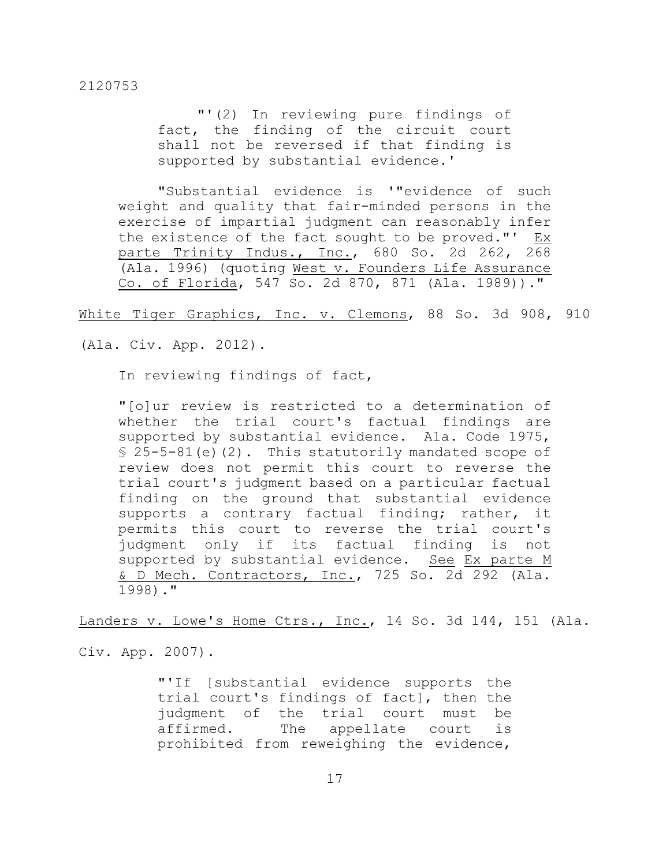"'(2) In reviewing pure findings of fact, the finding of the circuit court shall not be reversed if that finding is supported by substantial evidence.'

"Substantial evidence is '"evidence of such weight and quality that fair-minded persons in the exercise of impartial judgment can reasonably infer the existence of the fact sought to be proved."' Ex parte Trinity Indus., Inc., 680 So. 2d 262, 268 (Ala. 1996) (quoting West v. Founders Life Assurance Co. of Florida, 547 So. 2d 870, 871 (Ala. 1989))."

White Tiger Graphics, Inc. v. Clemons, 88 So. 3d 908, 910

(Ala. Civ. App. 2012).

In reviewing findings of fact,

"[o]ur review is restricted to a determination of whether the trial court's factual findings are supported by substantial evidence. Ala. Code 1975,  $$25-5-81(e)(2)$ . This statutorily mandated scope of review does not permit this court to reverse the trial court's judgment based on a particular factual finding on the ground that substantial evidence supports a contrary factual finding; rather, it permits this court to reverse the trial court's judgment only if its factual finding is not supported by substantial evidence. See Ex parte M & D Mech. Contractors, Inc., 725 So. 2d 292 (Ala. 1998)."

Landers v. Lowe's Home Ctrs., Inc., 14 So. 3d 144, 151 (Ala.

Civ. App. 2007).

"'If [substantial evidence supports the trial court's findings of fact], then the judgment of the trial court must be affirmed. The appellate court is prohibited from reweighing the evidence,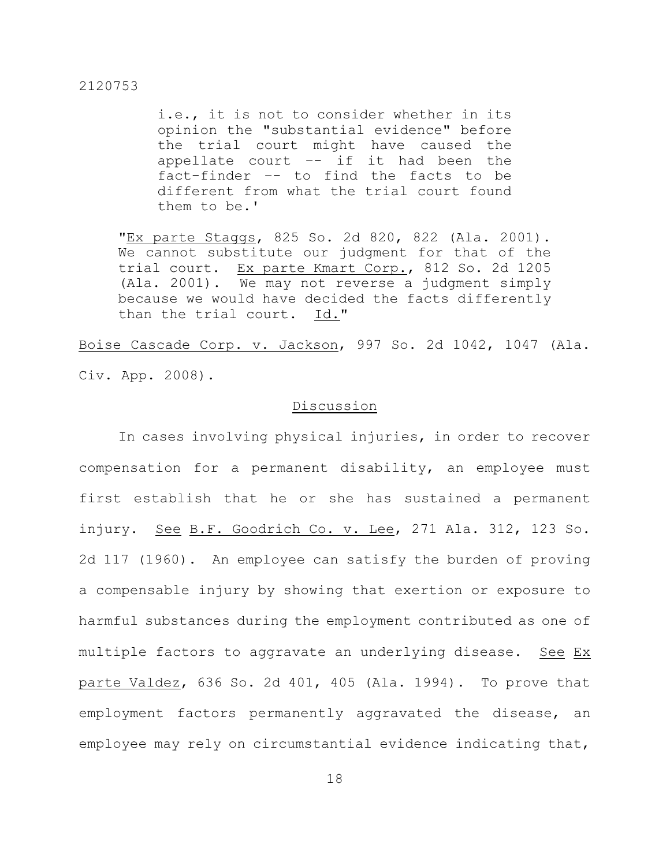i.e., it is not to consider whether in its opinion the "substantial evidence" before the trial court might have caused the appellate court –- if it had been the fact-finder –- to find the facts to be different from what the trial court found them to be.'

"Ex parte Staggs, 825 So. 2d 820, 822 (Ala. 2001). We cannot substitute our judgment for that of the trial court. Ex parte Kmart Corp., 812 So. 2d 1205 (Ala. 2001). We may not reverse a judgment simply because we would have decided the facts differently than the trial court. Id."

Boise Cascade Corp. v. Jackson, 997 So. 2d 1042, 1047 (Ala. Civ. App. 2008).

#### Discussion

In cases involving physical injuries, in order to recover compensation for a permanent disability, an employee must first establish that he or she has sustained a permanent injury. See B.F. Goodrich Co. v. Lee, 271 Ala. 312, 123 So. 2d 117 (1960). An employee can satisfy the burden of proving a compensable injury by showing that exertion or exposure to harmful substances during the employment contributed as one of multiple factors to aggravate an underlying disease. See Ex parte Valdez, 636 So. 2d 401, 405 (Ala. 1994). To prove that employment factors permanently aggravated the disease, an employee may rely on circumstantial evidence indicating that,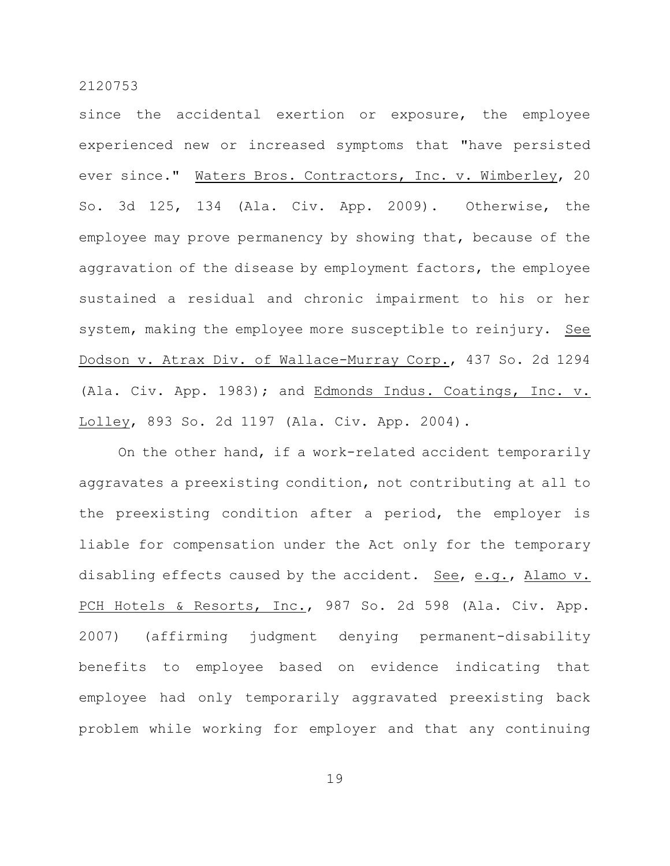since the accidental exertion or exposure, the employee experienced new or increased symptoms that "have persisted ever since." Waters Bros. Contractors, Inc. v. Wimberley, 20 So. 3d 125, 134 (Ala. Civ. App. 2009). Otherwise, the employee may prove permanency by showing that, because of the aggravation of the disease by employment factors, the employee sustained a residual and chronic impairment to his or her system, making the employee more susceptible to reinjury. See Dodson v. Atrax Div. of Wallace-Murray Corp., 437 So. 2d 1294 (Ala. Civ. App. 1983); and Edmonds Indus. Coatings, Inc. v. Lolley, 893 So. 2d 1197 (Ala. Civ. App. 2004).

On the other hand, if a work-related accident temporarily aggravates a preexisting condition, not contributing at all to the preexisting condition after a period, the employer is liable for compensation under the Act only for the temporary disabling effects caused by the accident. See, e.g., Alamo v. PCH Hotels & Resorts, Inc., 987 So. 2d 598 (Ala. Civ. App. 2007) (affirming judgment denying permanent-disability benefits to employee based on evidence indicating that employee had only temporarily aggravated preexisting back problem while working for employer and that any continuing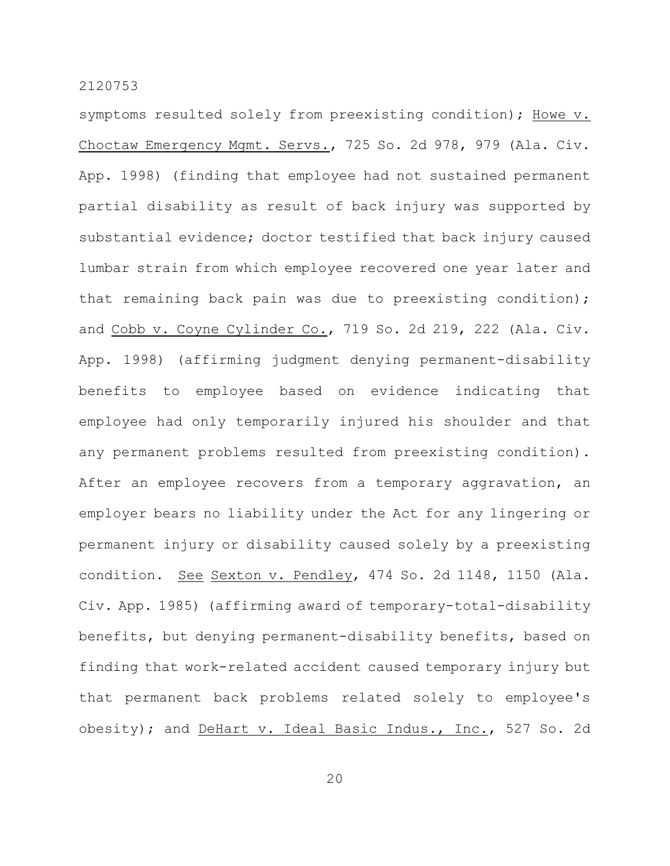symptoms resulted solely from preexisting condition); Howe v. Choctaw Emergency Mgmt. Servs., 725 So. 2d 978, 979 (Ala. Civ. App. 1998) (finding that employee had not sustained permanent partial disability as result of back injury was supported by substantial evidence; doctor testified that back injury caused lumbar strain from which employee recovered one year later and that remaining back pain was due to preexisting condition); and Cobb v. Coyne Cylinder Co., 719 So. 2d 219, 222 (Ala. Civ. App. 1998) (affirming judgment denying permanent-disability benefits to employee based on evidence indicating that employee had only temporarily injured his shoulder and that any permanent problems resulted from preexisting condition). After an employee recovers from a temporary aggravation, an employer bears no liability under the Act for any lingering or permanent injury or disability caused solely by a preexisting condition. See Sexton v. Pendley, 474 So. 2d 1148, 1150 (Ala. Civ. App. 1985) (affirming award of temporary-total-disability benefits, but denying permanent-disability benefits, based on finding that work-related accident caused temporary injury but that permanent back problems related solely to employee's obesity); and DeHart v. Ideal Basic Indus., Inc., 527 So. 2d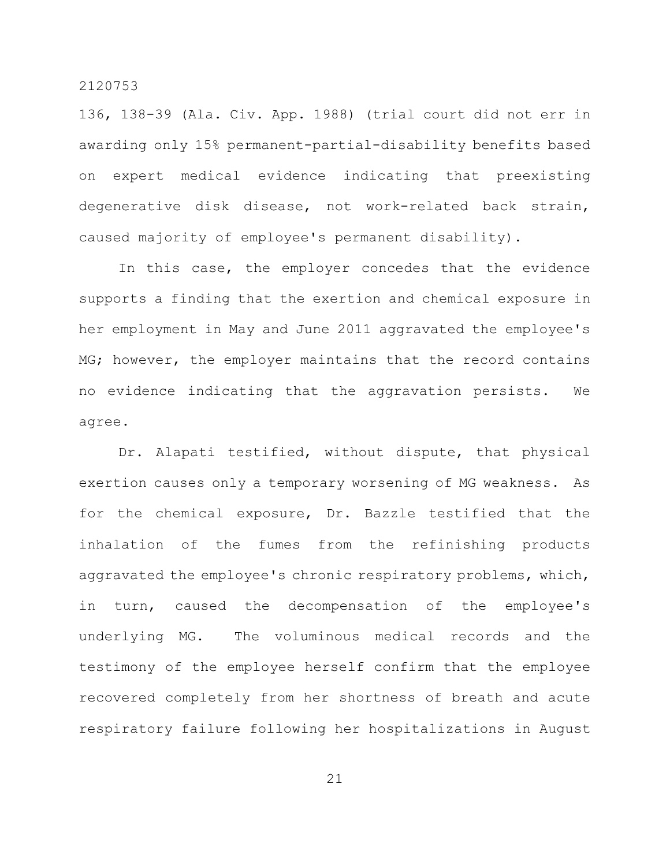136, 138-39 (Ala. Civ. App. 1988) (trial court did not err in awarding only 15% permanent-partial-disability benefits based on expert medical evidence indicating that preexisting degenerative disk disease, not work-related back strain, caused majority of employee's permanent disability).

In this case, the employer concedes that the evidence supports a finding that the exertion and chemical exposure in her employment in May and June 2011 aggravated the employee's MG; however, the employer maintains that the record contains no evidence indicating that the aggravation persists. We agree.

Dr. Alapati testified, without dispute, that physical exertion causes only a temporary worsening of MG weakness. As for the chemical exposure, Dr. Bazzle testified that the inhalation of the fumes from the refinishing products aggravated the employee's chronic respiratory problems, which, in turn, caused the decompensation of the employee's underlying MG. The voluminous medical records and the testimony of the employee herself confirm that the employee recovered completely from her shortness of breath and acute respiratory failure following her hospitalizations in August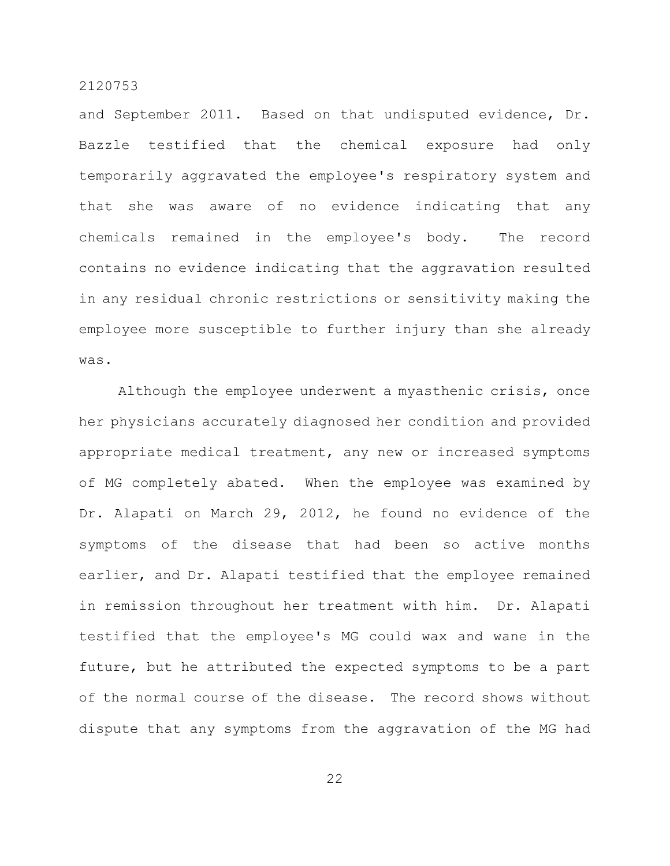and September 2011. Based on that undisputed evidence, Dr. Bazzle testified that the chemical exposure had only temporarily aggravated the employee's respiratory system and that she was aware of no evidence indicating that any chemicals remained in the employee's body. The record contains no evidence indicating that the aggravation resulted in any residual chronic restrictions or sensitivity making the employee more susceptible to further injury than she already was.

Although the employee underwent a myasthenic crisis, once her physicians accurately diagnosed her condition and provided appropriate medical treatment, any new or increased symptoms of MG completely abated. When the employee was examined by Dr. Alapati on March 29, 2012, he found no evidence of the symptoms of the disease that had been so active months earlier, and Dr. Alapati testified that the employee remained in remission throughout her treatment with him. Dr. Alapati testified that the employee's MG could wax and wane in the future, but he attributed the expected symptoms to be a part of the normal course of the disease. The record shows without dispute that any symptoms from the aggravation of the MG had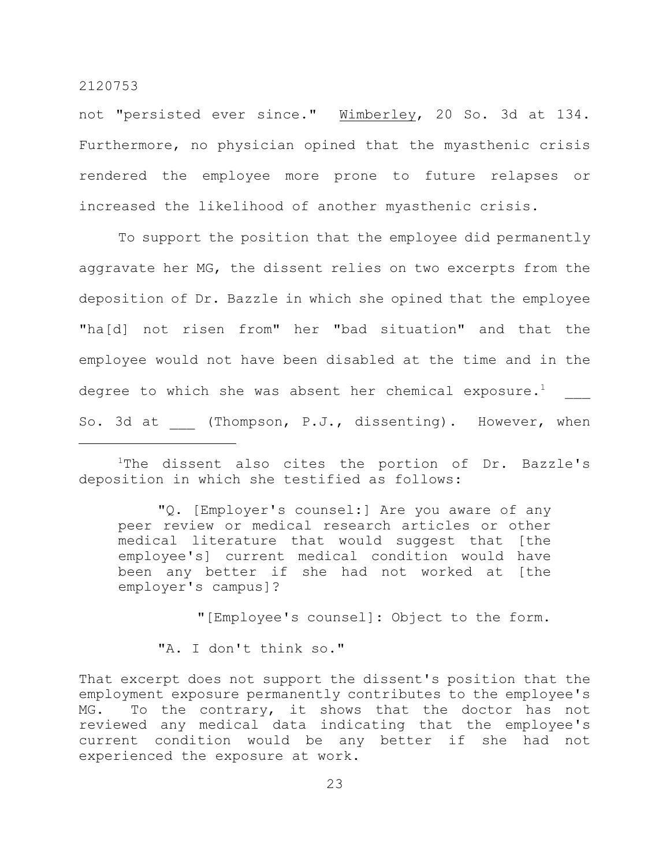not "persisted ever since." Wimberley, 20 So. 3d at 134. Furthermore, no physician opined that the myasthenic crisis rendered the employee more prone to future relapses or increased the likelihood of another myasthenic crisis.

To support the position that the employee did permanently aggravate her MG, the dissent relies on two excerpts from the deposition of Dr. Bazzle in which she opined that the employee "ha[d] not risen from" her "bad situation" and that the employee would not have been disabled at the time and in the degree to which she was absent her chemical exposure. $^1$ So. 3d at (Thompson, P.J., dissenting). However, when

<sup>1</sup>The dissent also cites the portion of Dr. Bazzle's deposition in which she testified as follows:

"Q. [Employer's counsel:] Are you aware of any peer review or medical research articles or other medical literature that would suggest that [the employee's] current medical condition would have been any better if she had not worked at [the employer's campus]?

"[Employee's counsel]: Object to the form.

"A. I don't think so."

That excerpt does not support the dissent's position that the employment exposure permanently contributes to the employee's MG. To the contrary, it shows that the doctor has not reviewed any medical data indicating that the employee's current condition would be any better if she had not experienced the exposure at work.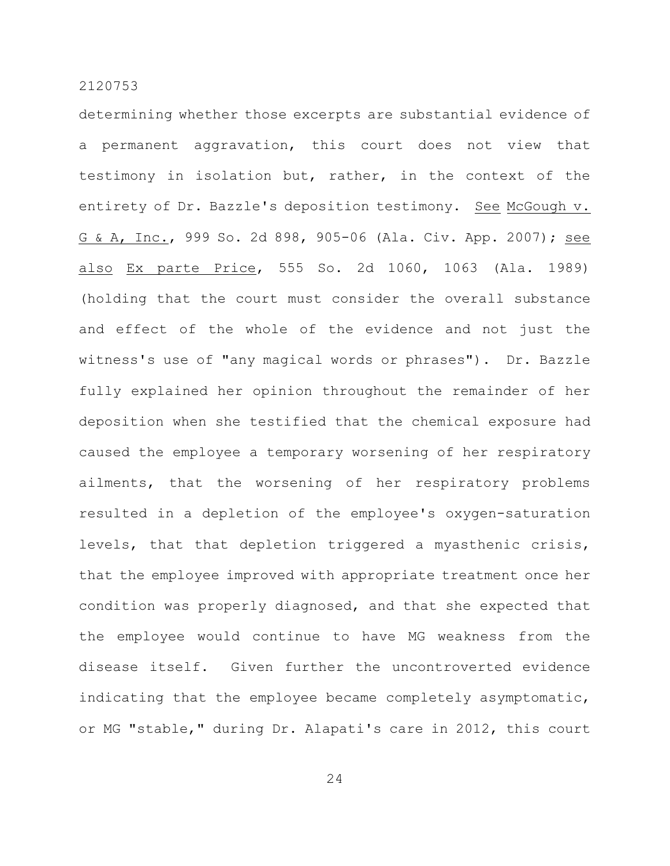determining whether those excerpts are substantial evidence of a permanent aggravation, this court does not view that testimony in isolation but, rather, in the context of the entirety of Dr. Bazzle's deposition testimony. See McGough v. G & A, Inc., 999 So. 2d 898, 905-06 (Ala. Civ. App. 2007); see also Ex parte Price, 555 So. 2d 1060, 1063 (Ala. 1989) (holding that the court must consider the overall substance and effect of the whole of the evidence and not just the witness's use of "any magical words or phrases"). Dr. Bazzle fully explained her opinion throughout the remainder of her deposition when she testified that the chemical exposure had caused the employee a temporary worsening of her respiratory ailments, that the worsening of her respiratory problems resulted in a depletion of the employee's oxygen-saturation levels, that that depletion triggered a myasthenic crisis, that the employee improved with appropriate treatment once her condition was properly diagnosed, and that she expected that the employee would continue to have MG weakness from the disease itself. Given further the uncontroverted evidence indicating that the employee became completely asymptomatic, or MG "stable," during Dr. Alapati's care in 2012, this court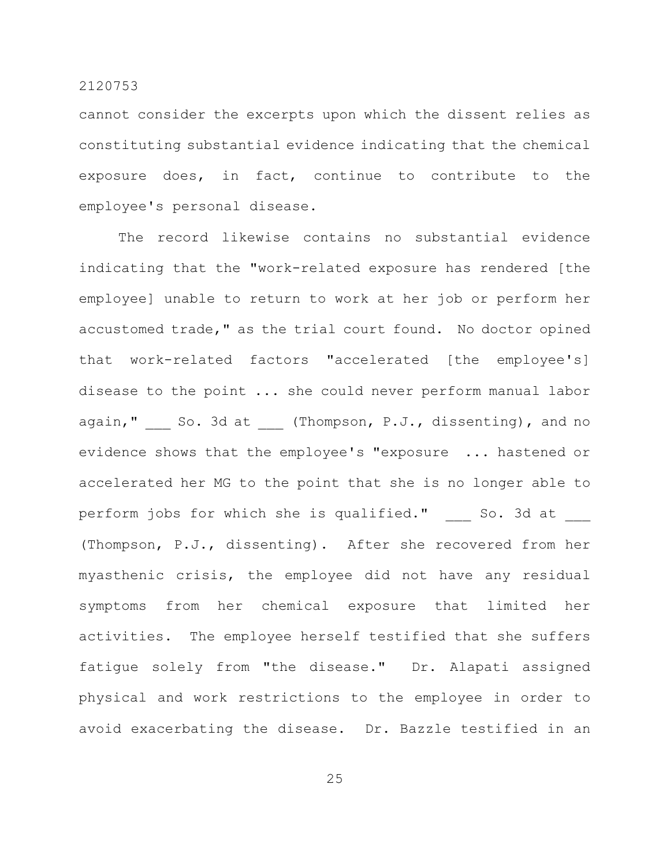cannot consider the excerpts upon which the dissent relies as constituting substantial evidence indicating that the chemical exposure does, in fact, continue to contribute to the employee's personal disease.

The record likewise contains no substantial evidence indicating that the "work-related exposure has rendered [the employee] unable to return to work at her job or perform her accustomed trade," as the trial court found. No doctor opined that work-related factors "accelerated [the employee's] disease to the point ... she could never perform manual labor again," So. 3d at (Thompson, P.J., dissenting), and no evidence shows that the employee's "exposure ... hastened or accelerated her MG to the point that she is no longer able to perform jobs for which she is qualified." So. 3d at (Thompson, P.J., dissenting). After she recovered from her myasthenic crisis, the employee did not have any residual symptoms from her chemical exposure that limited her activities. The employee herself testified that she suffers fatigue solely from "the disease." Dr. Alapati assigned physical and work restrictions to the employee in order to avoid exacerbating the disease. Dr. Bazzle testified in an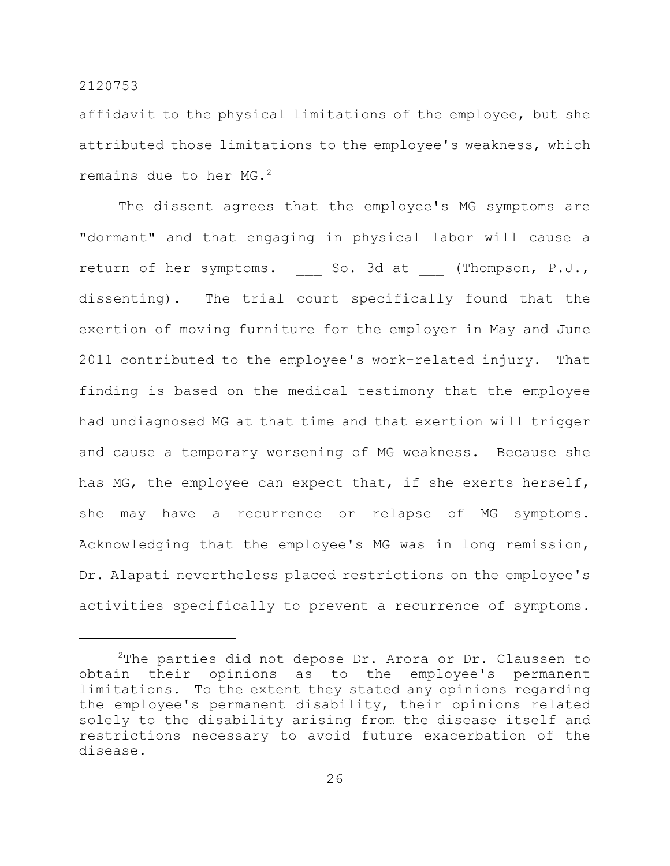affidavit to the physical limitations of the employee, but she attributed those limitations to the employee's weakness, which remains due to her MG.<sup>2</sup>

The dissent agrees that the employee's MG symptoms are "dormant" and that engaging in physical labor will cause a return of her symptoms. So. 3d at (Thompson, P.J., dissenting). The trial court specifically found that the exertion of moving furniture for the employer in May and June 2011 contributed to the employee's work-related injury. That finding is based on the medical testimony that the employee had undiagnosed MG at that time and that exertion will trigger and cause a temporary worsening of MG weakness. Because she has MG, the employee can expect that, if she exerts herself, she may have a recurrence or relapse of MG symptoms. Acknowledging that the employee's MG was in long remission, Dr. Alapati nevertheless placed restrictions on the employee's activities specifically to prevent a recurrence of symptoms.

 $2$ The parties did not depose Dr. Arora or Dr. Claussen to obtain their opinions as to the employee's permanent limitations. To the extent they stated any opinions regarding the employee's permanent disability, their opinions related solely to the disability arising from the disease itself and restrictions necessary to avoid future exacerbation of the disease.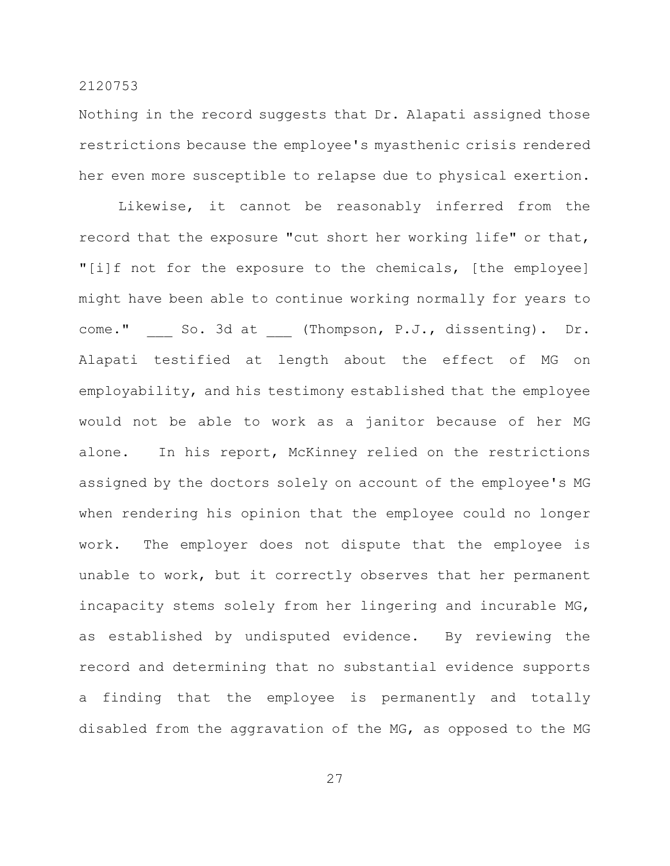Nothing in the record suggests that Dr. Alapati assigned those restrictions because the employee's myasthenic crisis rendered her even more susceptible to relapse due to physical exertion.

Likewise, it cannot be reasonably inferred from the record that the exposure "cut short her working life" or that, "[i]f not for the exposure to the chemicals, [the employee] might have been able to continue working normally for years to come." So. 3d at (Thompson, P.J., dissenting). Dr. Alapati testified at length about the effect of MG on employability, and his testimony established that the employee would not be able to work as a janitor because of her MG alone. In his report, McKinney relied on the restrictions assigned by the doctors solely on account of the employee's MG when rendering his opinion that the employee could no longer work. The employer does not dispute that the employee is unable to work, but it correctly observes that her permanent incapacity stems solely from her lingering and incurable MG, as established by undisputed evidence. By reviewing the record and determining that no substantial evidence supports a finding that the employee is permanently and totally disabled from the aggravation of the MG, as opposed to the MG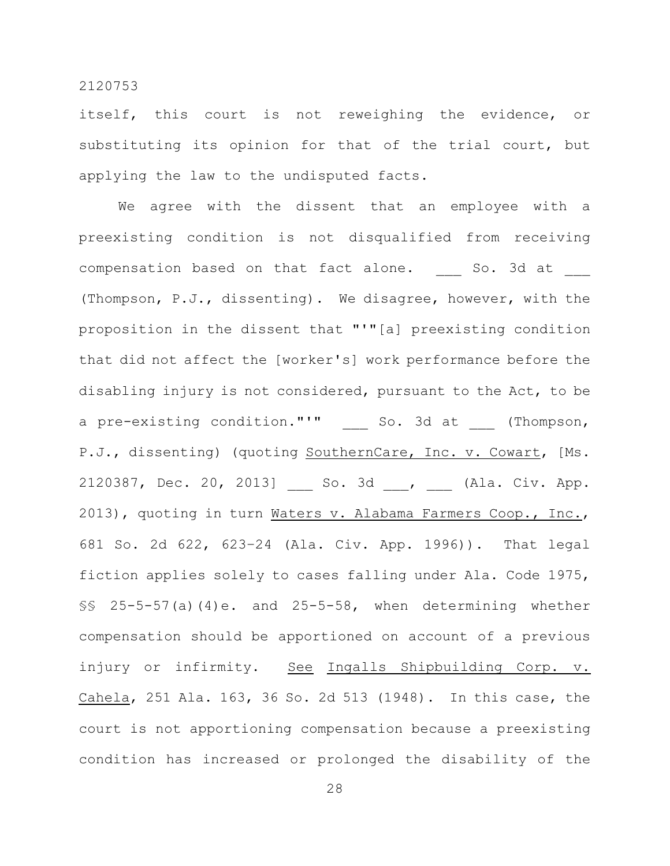itself, this court is not reweighing the evidence, or substituting its opinion for that of the trial court, but applying the law to the undisputed facts.

We agree with the dissent that an employee with a preexisting condition is not disqualified from receiving compensation based on that fact alone. So. 3d at (Thompson, P.J., dissenting). We disagree, however, with the proposition in the dissent that "'"[a] preexisting condition that did not affect the [worker's] work performance before the disabling injury is not considered, pursuant to the Act, to be a pre-existing condition."'" \_\_\_ So. 3d at (Thompson, P.J., dissenting) (quoting SouthernCare, Inc. v. Cowart, [Ms. 2120387, Dec. 20, 2013] So. 3d , (Ala. Civ. App. 2013), quoting in turn Waters v. Alabama Farmers Coop., Inc., 681 So. 2d 622, 623–24 (Ala. Civ. App. 1996)). That legal fiction applies solely to cases falling under Ala. Code 1975, §§ 25-5-57(a)(4)e. and 25-5-58, when determining whether compensation should be apportioned on account of a previous injury or infirmity. See Ingalls Shipbuilding Corp. v. Cahela, 251 Ala. 163, 36 So. 2d 513 (1948). In this case, the court is not apportioning compensation because a preexisting condition has increased or prolonged the disability of the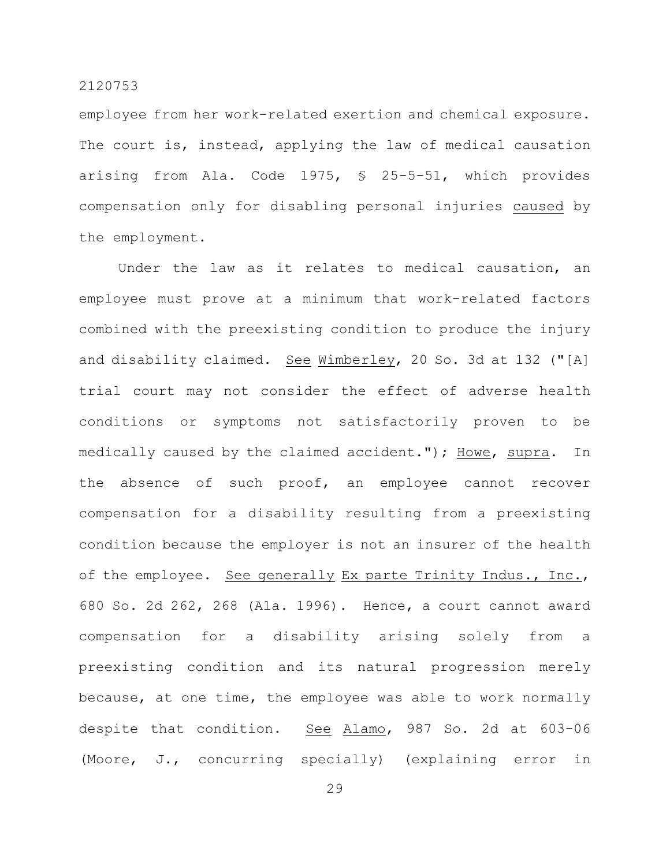employee from her work-related exertion and chemical exposure. The court is, instead, applying the law of medical causation arising from Ala. Code 1975, § 25-5-51, which provides compensation only for disabling personal injuries caused by the employment.

Under the law as it relates to medical causation, an employee must prove at a minimum that work-related factors combined with the preexisting condition to produce the injury and disability claimed. See Wimberley, 20 So. 3d at 132 ("[A] trial court may not consider the effect of adverse health conditions or symptoms not satisfactorily proven to be medically caused by the claimed accident."); Howe, supra. In the absence of such proof, an employee cannot recover compensation for a disability resulting from a preexisting condition because the employer is not an insurer of the health of the employee. See generally Ex parte Trinity Indus., Inc., 680 So. 2d 262, 268 (Ala. 1996). Hence, a court cannot award compensation for a disability arising solely from a preexisting condition and its natural progression merely because, at one time, the employee was able to work normally despite that condition. See Alamo, 987 So. 2d at 603-06 (Moore, J., concurring specially) (explaining error in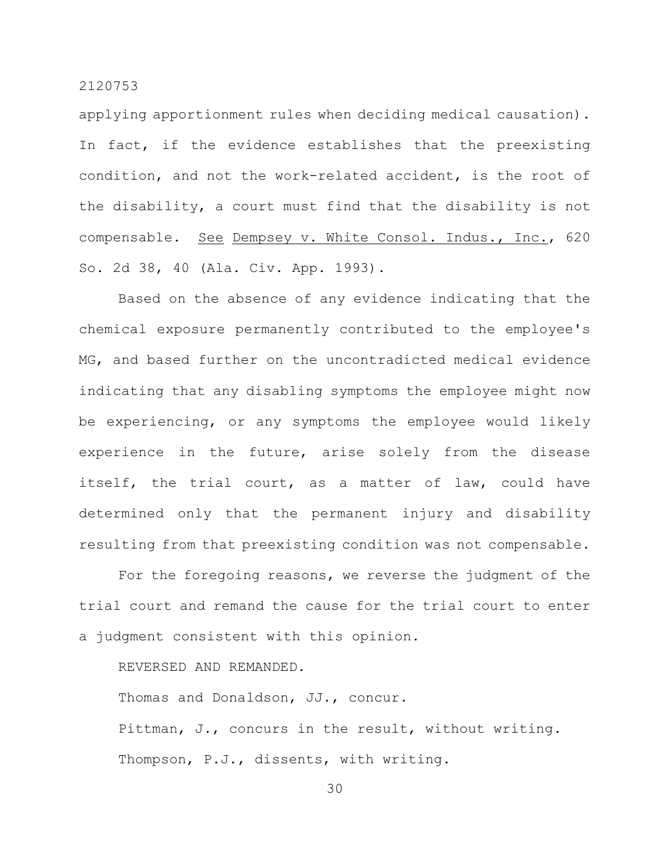applying apportionment rules when deciding medical causation). In fact, if the evidence establishes that the preexisting condition, and not the work-related accident, is the root of the disability, a court must find that the disability is not compensable. See Dempsey v. White Consol. Indus., Inc., 620 So. 2d 38, 40 (Ala. Civ. App. 1993).

Based on the absence of any evidence indicating that the chemical exposure permanently contributed to the employee's MG, and based further on the uncontradicted medical evidence indicating that any disabling symptoms the employee might now be experiencing, or any symptoms the employee would likely experience in the future, arise solely from the disease itself, the trial court, as a matter of law, could have determined only that the permanent injury and disability resulting from that preexisting condition was not compensable.

For the foregoing reasons, we reverse the judgment of the trial court and remand the cause for the trial court to enter a judgment consistent with this opinion.

REVERSED AND REMANDED.

Thomas and Donaldson, JJ., concur.

Pittman, J., concurs in the result, without writing. Thompson, P.J., dissents, with writing.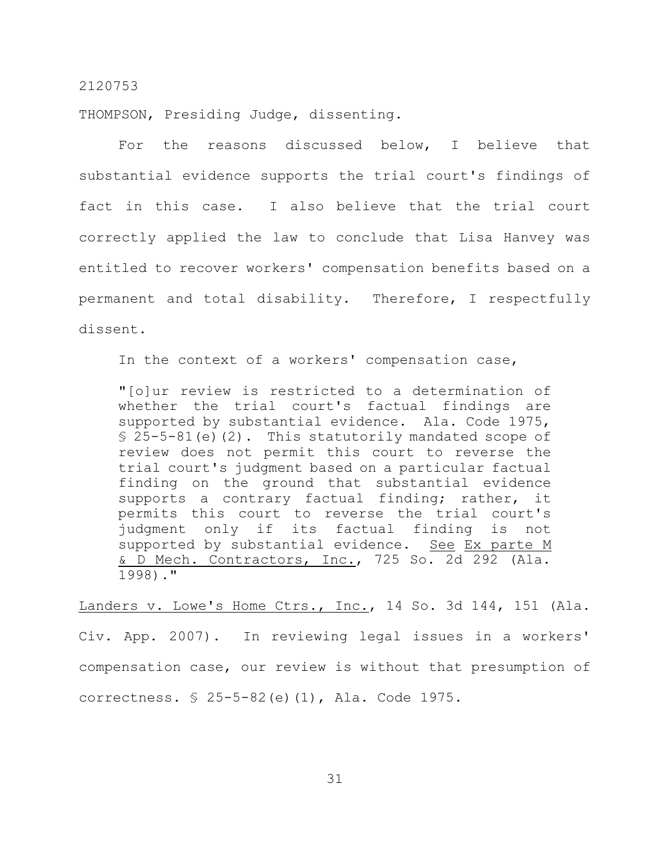THOMPSON, Presiding Judge, dissenting.

For the reasons discussed below, I believe that substantial evidence supports the trial court's findings of fact in this case. I also believe that the trial court correctly applied the law to conclude that Lisa Hanvey was entitled to recover workers' compensation benefits based on a permanent and total disability. Therefore, I respectfully dissent.

In the context of a workers' compensation case,

"[o]ur review is restricted to a determination of whether the trial court's factual findings are supported by substantial evidence. Ala. Code 1975,  $$25-5-81(e)$  (2). This statutorily mandated scope of review does not permit this court to reverse the trial court's judgment based on a particular factual finding on the ground that substantial evidence supports a contrary factual finding; rather, it permits this court to reverse the trial court's judgment only if its factual finding is not supported by substantial evidence. See Ex parte M & D Mech. Contractors, Inc., 725 So. 2d 292 (Ala. 1998)."

Landers v. Lowe's Home Ctrs., Inc., 14 So. 3d 144, 151 (Ala. Civ. App. 2007). In reviewing legal issues in a workers' compensation case, our review is without that presumption of correctness. § 25-5-82(e)(1), Ala. Code 1975.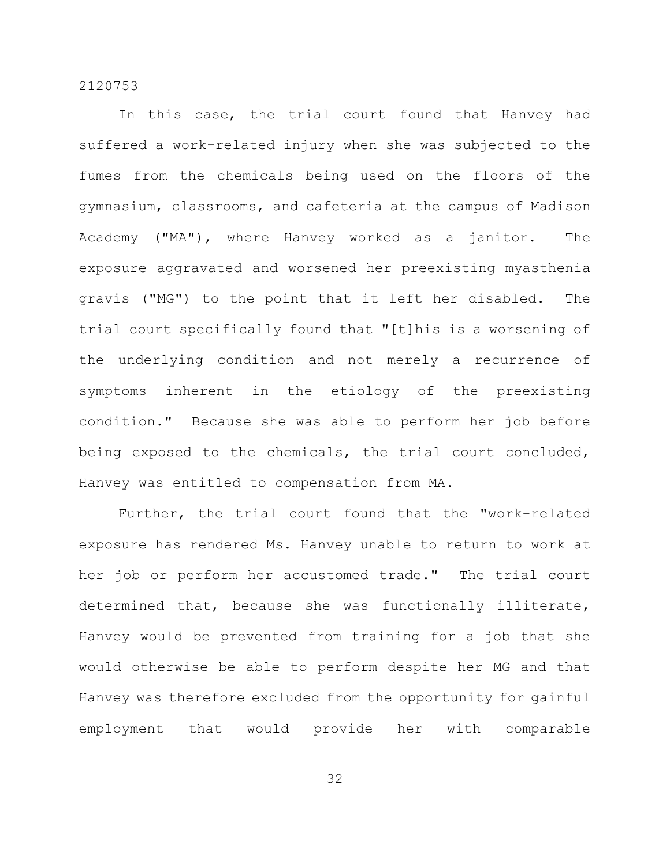In this case, the trial court found that Hanvey had suffered a work-related injury when she was subjected to the fumes from the chemicals being used on the floors of the gymnasium, classrooms, and cafeteria at the campus of Madison Academy ("MA"), where Hanvey worked as a janitor. The exposure aggravated and worsened her preexisting myasthenia gravis ("MG") to the point that it left her disabled. The trial court specifically found that "[t]his is a worsening of the underlying condition and not merely a recurrence of symptoms inherent in the etiology of the preexisting condition." Because she was able to perform her job before being exposed to the chemicals, the trial court concluded, Hanvey was entitled to compensation from MA.

Further, the trial court found that the "work-related exposure has rendered Ms. Hanvey unable to return to work at her job or perform her accustomed trade." The trial court determined that, because she was functionally illiterate, Hanvey would be prevented from training for a job that she would otherwise be able to perform despite her MG and that Hanvey was therefore excluded from the opportunity for gainful employment that would provide her with comparable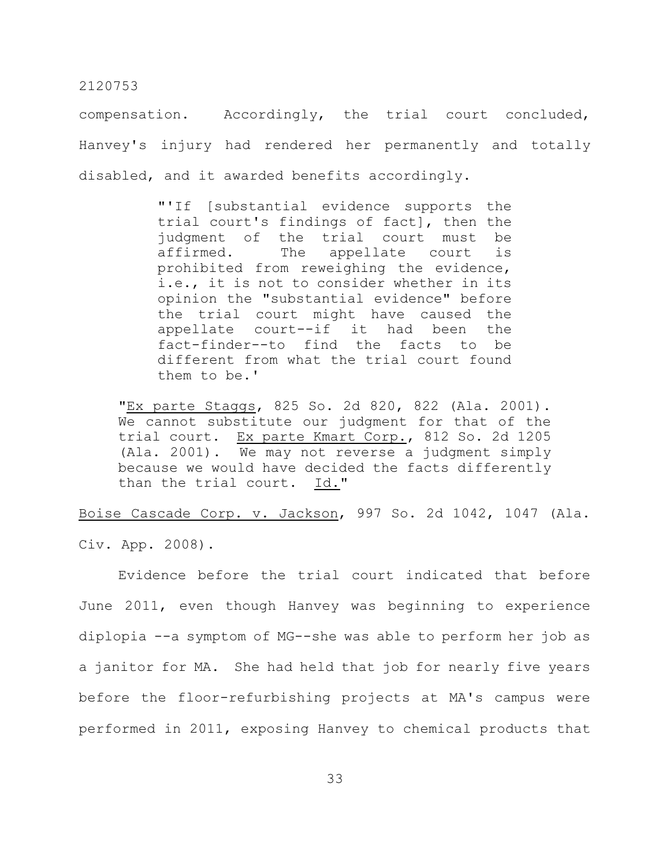compensation. Accordingly, the trial court concluded, Hanvey's injury had rendered her permanently and totally disabled, and it awarded benefits accordingly.

> "'If [substantial evidence supports the trial court's findings of fact], then the judgment of the trial court must be affirmed. The appellate court is prohibited from reweighing the evidence, i.e., it is not to consider whether in its opinion the "substantial evidence" before the trial court might have caused the appellate court--if it had been the fact-finder--to find the facts to be different from what the trial court found them to be.'

"Ex parte Staggs, 825 So. 2d 820, 822 (Ala. 2001). We cannot substitute our judgment for that of the trial court. Ex parte Kmart Corp., 812 So. 2d 1205 (Ala. 2001). We may not reverse a judgment simply because we would have decided the facts differently than the trial court. Id."

Boise Cascade Corp. v. Jackson, 997 So. 2d 1042, 1047 (Ala.

Civ. App. 2008).

Evidence before the trial court indicated that before June 2011, even though Hanvey was beginning to experience diplopia --a symptom of MG--she was able to perform her job as a janitor for MA. She had held that job for nearly five years before the floor-refurbishing projects at MA's campus were performed in 2011, exposing Hanvey to chemical products that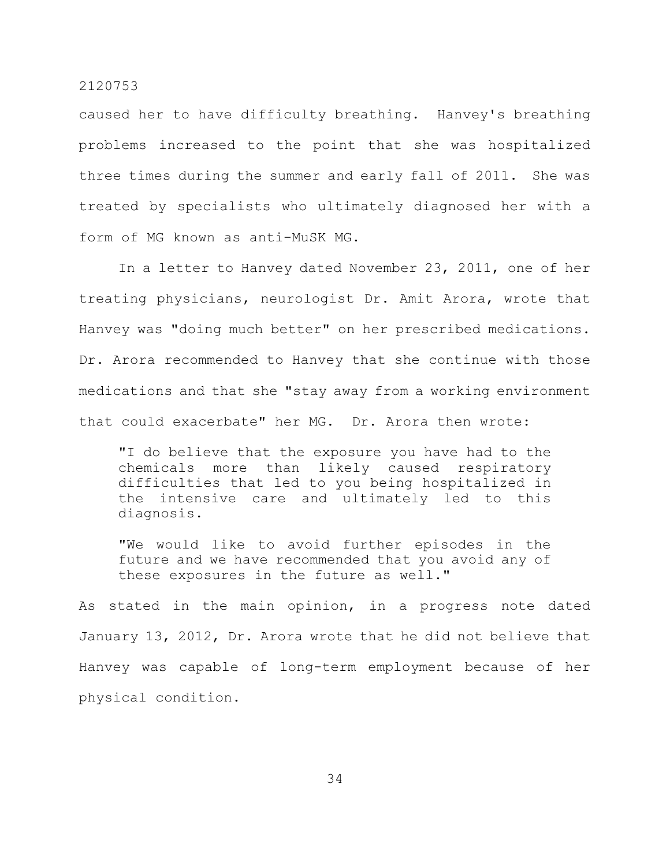caused her to have difficulty breathing. Hanvey's breathing problems increased to the point that she was hospitalized three times during the summer and early fall of 2011. She was treated by specialists who ultimately diagnosed her with a form of MG known as anti-MuSK MG.

In a letter to Hanvey dated November 23, 2011, one of her treating physicians, neurologist Dr. Amit Arora, wrote that Hanvey was "doing much better" on her prescribed medications. Dr. Arora recommended to Hanvey that she continue with those medications and that she "stay away from a working environment that could exacerbate" her MG. Dr. Arora then wrote:

"I do believe that the exposure you have had to the chemicals more than likely caused respiratory difficulties that led to you being hospitalized in the intensive care and ultimately led to this diagnosis.

"We would like to avoid further episodes in the future and we have recommended that you avoid any of these exposures in the future as well."

As stated in the main opinion, in a progress note dated January 13, 2012, Dr. Arora wrote that he did not believe that Hanvey was capable of long-term employment because of her physical condition.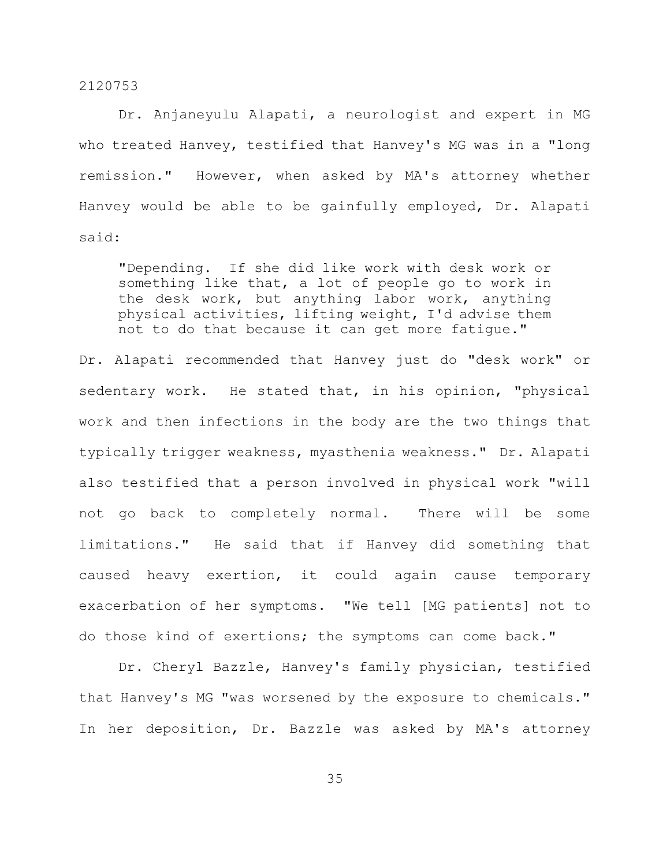Dr. Anjaneyulu Alapati, a neurologist and expert in MG who treated Hanvey, testified that Hanvey's MG was in a "long remission." However, when asked by MA's attorney whether Hanvey would be able to be gainfully employed, Dr. Alapati said:

"Depending. If she did like work with desk work or something like that, a lot of people go to work in the desk work, but anything labor work, anything physical activities, lifting weight, I'd advise them not to do that because it can get more fatigue."

Dr. Alapati recommended that Hanvey just do "desk work" or sedentary work. He stated that, in his opinion, "physical work and then infections in the body are the two things that typically trigger weakness, myasthenia weakness." Dr. Alapati also testified that a person involved in physical work "will not go back to completely normal. There will be some limitations." He said that if Hanvey did something that caused heavy exertion, it could again cause temporary exacerbation of her symptoms. "We tell [MG patients] not to do those kind of exertions; the symptoms can come back."

Dr. Cheryl Bazzle, Hanvey's family physician, testified that Hanvey's MG "was worsened by the exposure to chemicals." In her deposition, Dr. Bazzle was asked by MA's attorney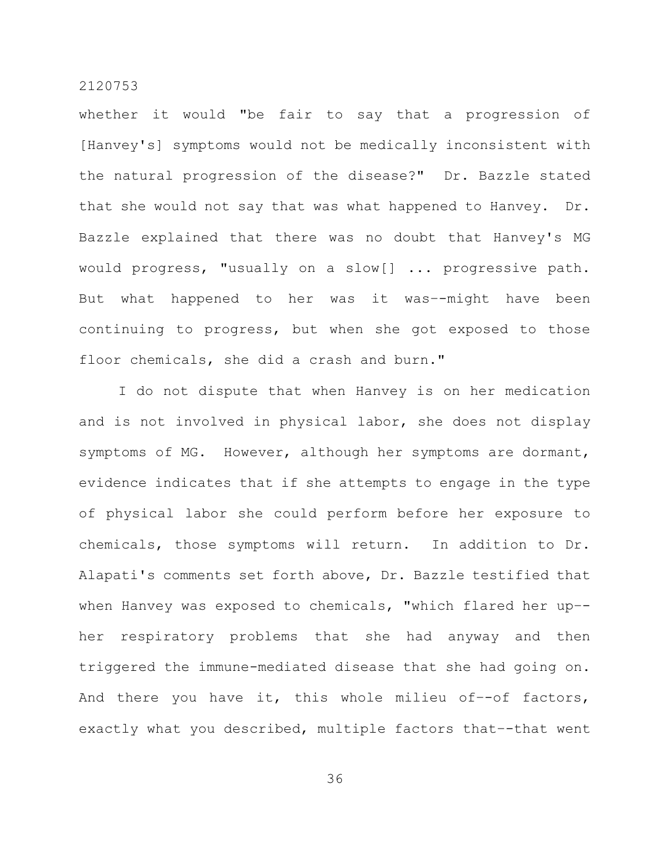whether it would "be fair to say that a progression of [Hanvey's] symptoms would not be medically inconsistent with the natural progression of the disease?" Dr. Bazzle stated that she would not say that was what happened to Hanvey. Dr. Bazzle explained that there was no doubt that Hanvey's MG would progress, "usually on a slow[] ... progressive path. But what happened to her was it was–-might have been continuing to progress, but when she got exposed to those floor chemicals, she did a crash and burn."

I do not dispute that when Hanvey is on her medication and is not involved in physical labor, she does not display symptoms of MG. However, although her symptoms are dormant, evidence indicates that if she attempts to engage in the type of physical labor she could perform before her exposure to chemicals, those symptoms will return. In addition to Dr. Alapati's comments set forth above, Dr. Bazzle testified that when Hanvey was exposed to chemicals, "which flared her up– her respiratory problems that she had anyway and then triggered the immune-mediated disease that she had going on. And there you have it, this whole milieu of–-of factors, exactly what you described, multiple factors that–-that went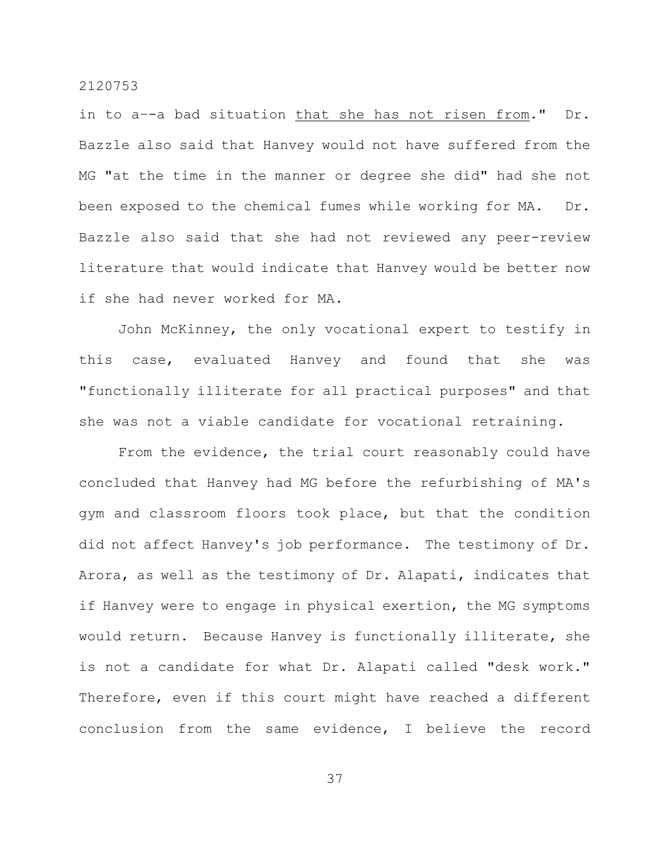in to a–-a bad situation that she has not risen from." Dr. Bazzle also said that Hanvey would not have suffered from the MG "at the time in the manner or degree she did" had she not been exposed to the chemical fumes while working for MA. Dr. Bazzle also said that she had not reviewed any peer-review literature that would indicate that Hanvey would be better now if she had never worked for MA.

John McKinney, the only vocational expert to testify in this case, evaluated Hanvey and found that she was "functionally illiterate for all practical purposes" and that she was not a viable candidate for vocational retraining.

From the evidence, the trial court reasonably could have concluded that Hanvey had MG before the refurbishing of MA's gym and classroom floors took place, but that the condition did not affect Hanvey's job performance. The testimony of Dr. Arora, as well as the testimony of Dr. Alapati, indicates that if Hanvey were to engage in physical exertion, the MG symptoms would return. Because Hanvey is functionally illiterate, she is not a candidate for what Dr. Alapati called "desk work." Therefore, even if this court might have reached a different conclusion from the same evidence, I believe the record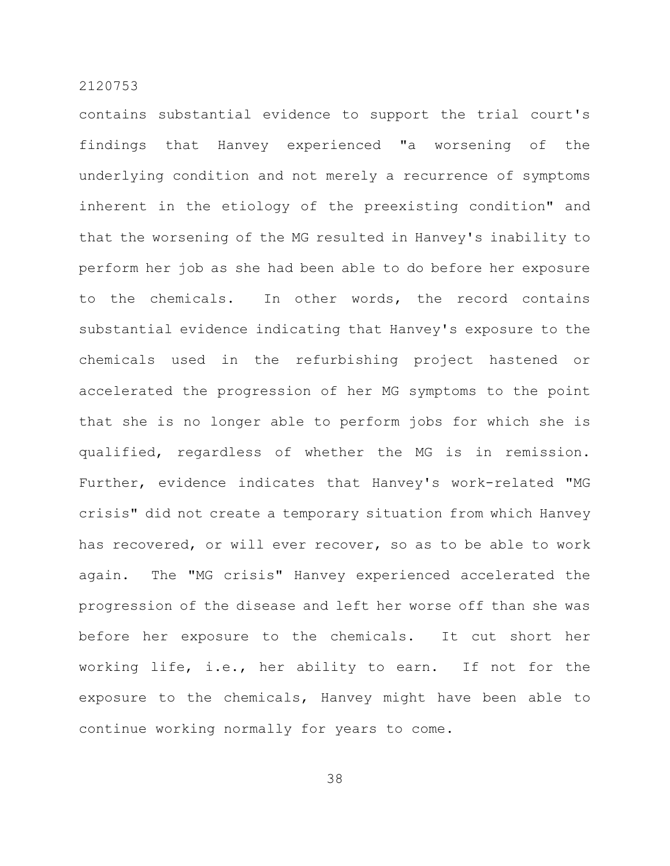contains substantial evidence to support the trial court's findings that Hanvey experienced "a worsening of the underlying condition and not merely a recurrence of symptoms inherent in the etiology of the preexisting condition" and that the worsening of the MG resulted in Hanvey's inability to perform her job as she had been able to do before her exposure to the chemicals. In other words, the record contains substantial evidence indicating that Hanvey's exposure to the chemicals used in the refurbishing project hastened or accelerated the progression of her MG symptoms to the point that she is no longer able to perform jobs for which she is qualified, regardless of whether the MG is in remission. Further, evidence indicates that Hanvey's work-related "MG crisis" did not create a temporary situation from which Hanvey has recovered, or will ever recover, so as to be able to work again. The "MG crisis" Hanvey experienced accelerated the progression of the disease and left her worse off than she was before her exposure to the chemicals. It cut short her working life, i.e., her ability to earn. If not for the exposure to the chemicals, Hanvey might have been able to continue working normally for years to come.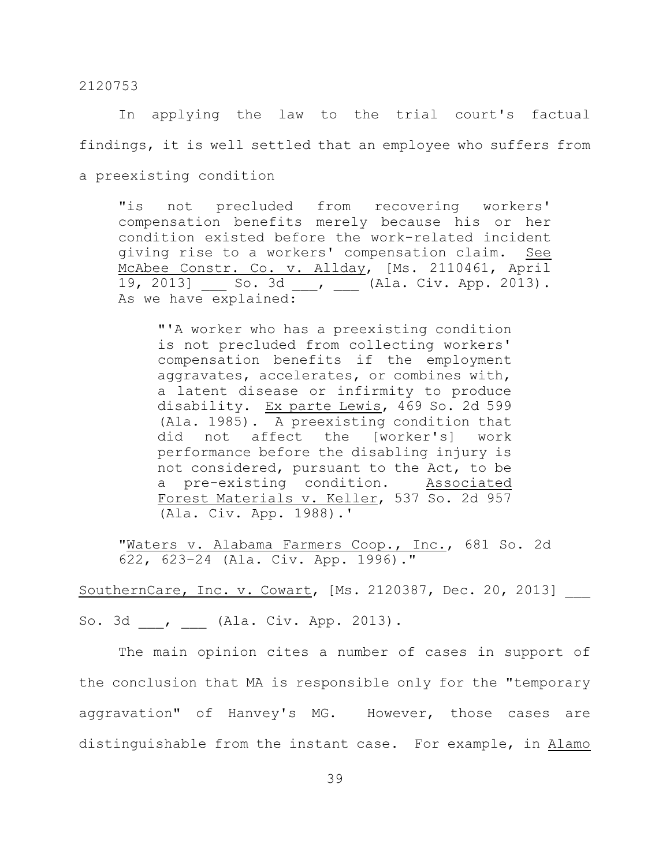In applying the law to the trial court's factual findings, it is well settled that an employee who suffers from

a preexisting condition

"is not precluded from recovering workers' compensation benefits merely because his or her condition existed before the work-related incident giving rise to a workers' compensation claim. See McAbee Constr. Co. v. Allday, [Ms. 2110461, April 19, 2013] \_\_\_ So. 3d \_\_\_, \_\_\_ (Ala. Civ. App. 2013). As we have explained:

"'A worker who has a preexisting condition is not precluded from collecting workers' compensation benefits if the employment aggravates, accelerates, or combines with, a latent disease or infirmity to produce disability. Ex parte Lewis, 469 So. 2d 599 (Ala. 1985). A preexisting condition that did not affect the [worker's] work performance before the disabling injury is not considered, pursuant to the Act, to be a pre-existing condition. Associated Forest Materials v. Keller, 537 So. 2d 957 (Ala. Civ. App. 1988).'

"Maters v. Alabama Farmers Coop., Inc., 681 So. 2d 622, 623–24 (Ala. Civ. App. 1996)."

SouthernCare, Inc. v. Cowart, [Ms. 2120387, Dec. 20, 2013]

So. 3d , (Ala. Civ. App. 2013).

The main opinion cites a number of cases in support of the conclusion that MA is responsible only for the "temporary aggravation" of Hanvey's MG. However, those cases are distinguishable from the instant case. For example, in Alamo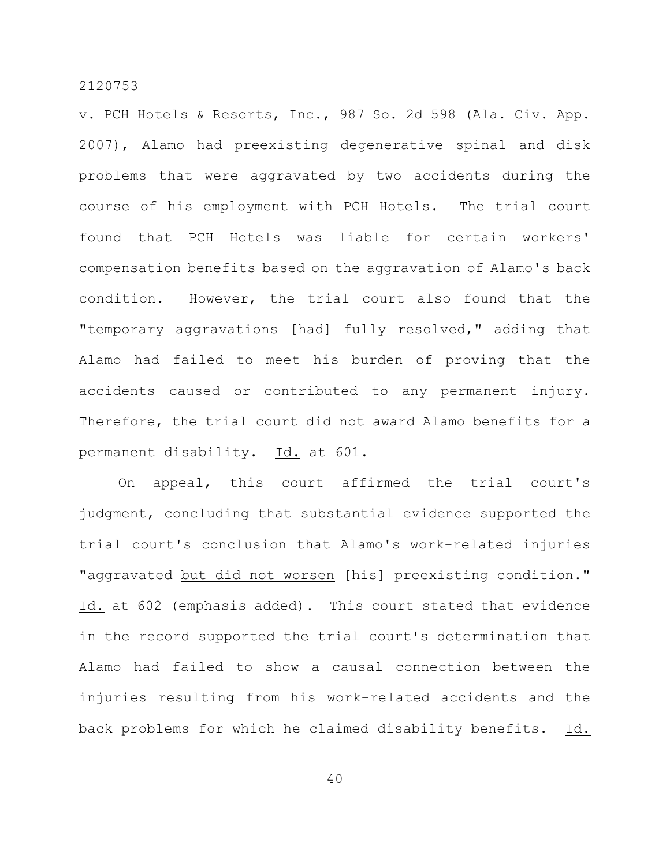v. PCH Hotels & Resorts, Inc., 987 So. 2d 598 (Ala. Civ. App. 2007), Alamo had preexisting degenerative spinal and disk problems that were aggravated by two accidents during the course of his employment with PCH Hotels. The trial court found that PCH Hotels was liable for certain workers' compensation benefits based on the aggravation of Alamo's back condition. However, the trial court also found that the "temporary aggravations [had] fully resolved," adding that Alamo had failed to meet his burden of proving that the accidents caused or contributed to any permanent injury. Therefore, the trial court did not award Alamo benefits for a permanent disability. Id. at 601.

On appeal, this court affirmed the trial court's judgment, concluding that substantial evidence supported the trial court's conclusion that Alamo's work-related injuries "aggravated but did not worsen [his] preexisting condition." Id. at 602 (emphasis added). This court stated that evidence in the record supported the trial court's determination that Alamo had failed to show a causal connection between the injuries resulting from his work-related accidents and the back problems for which he claimed disability benefits. Id.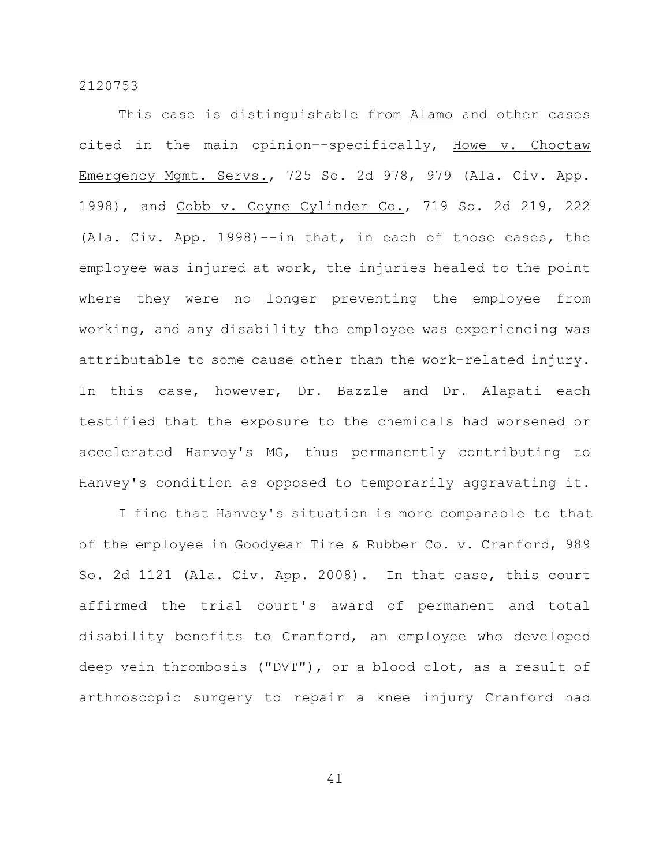This case is distinguishable from Alamo and other cases cited in the main opinion–-specifically, Howe v. Choctaw Emergency Mgmt. Servs., 725 So. 2d 978, 979 (Ala. Civ. App. 1998), and Cobb v. Coyne Cylinder Co., 719 So. 2d 219, 222 (Ala. Civ. App. 1998)--in that, in each of those cases, the employee was injured at work, the injuries healed to the point where they were no longer preventing the employee from working, and any disability the employee was experiencing was attributable to some cause other than the work-related injury. In this case, however, Dr. Bazzle and Dr. Alapati each testified that the exposure to the chemicals had worsened or accelerated Hanvey's MG, thus permanently contributing to Hanvey's condition as opposed to temporarily aggravating it.

I find that Hanvey's situation is more comparable to that of the employee in Goodyear Tire & Rubber Co. v. Cranford, 989 So. 2d 1121 (Ala. Civ. App. 2008). In that case, this court affirmed the trial court's award of permanent and total disability benefits to Cranford, an employee who developed deep vein thrombosis ("DVT"), or a blood clot, as a result of arthroscopic surgery to repair a knee injury Cranford had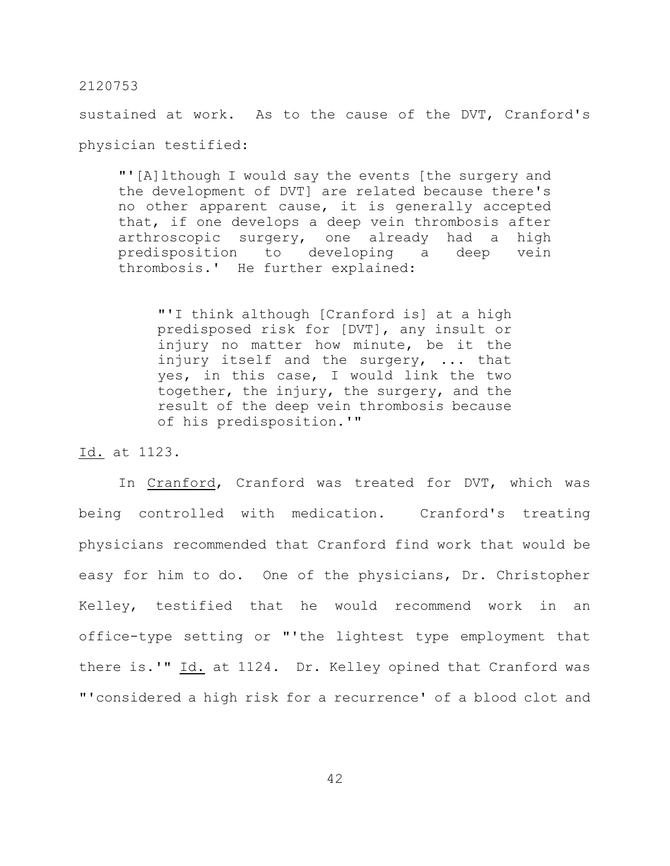sustained at work. As to the cause of the DVT, Cranford's physician testified:

"'[A]lthough I would say the events [the surgery and the development of DVT] are related because there's no other apparent cause, it is generally accepted that, if one develops a deep vein thrombosis after arthroscopic surgery, one already had a high predisposition to developing a deep vein thrombosis.' He further explained:

"'I think although [Cranford is] at a high predisposed risk for [DVT], any insult or injury no matter how minute, be it the injury itself and the surgery, ... that yes, in this case, I would link the two together, the injury, the surgery, and the result of the deep vein thrombosis because of his predisposition.'"

Id. at 1123.

In Cranford, Cranford was treated for DVT, which was being controlled with medication. Cranford's treating physicians recommended that Cranford find work that would be easy for him to do. One of the physicians, Dr. Christopher Kelley, testified that he would recommend work in an office-type setting or "'the lightest type employment that there is.'" Id. at 1124. Dr. Kelley opined that Cranford was "'considered a high risk for a recurrence' of a blood clot and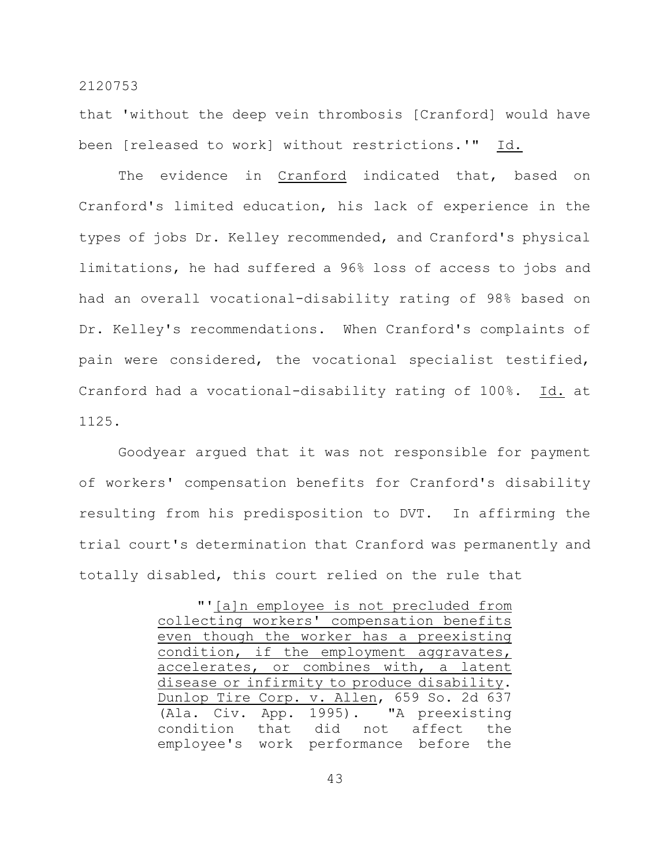that 'without the deep vein thrombosis [Cranford] would have been [released to work] without restrictions.'" Id.

The evidence in Cranford indicated that, based on Cranford's limited education, his lack of experience in the types of jobs Dr. Kelley recommended, and Cranford's physical limitations, he had suffered a 96% loss of access to jobs and had an overall vocational-disability rating of 98% based on Dr. Kelley's recommendations. When Cranford's complaints of pain were considered, the vocational specialist testified, Cranford had a vocational-disability rating of 100%. Id. at 1125.

Goodyear argued that it was not responsible for payment of workers' compensation benefits for Cranford's disability resulting from his predisposition to DVT. In affirming the trial court's determination that Cranford was permanently and totally disabled, this court relied on the rule that

|                                             |  |  | "'[a]n employee is not precluded from |  |
|---------------------------------------------|--|--|---------------------------------------|--|
| collecting workers' compensation benefits   |  |  |                                       |  |
| even though the worker has a preexisting    |  |  |                                       |  |
| condition, if the employment aggravates,    |  |  |                                       |  |
| accelerates, or combines with, a latent     |  |  |                                       |  |
| disease or infirmity to produce disability. |  |  |                                       |  |
| Dunlop Tire Corp. v. Allen, 659 So. 2d 637  |  |  |                                       |  |
| (Ala. Civ. App. 1995). "A preexisting       |  |  |                                       |  |
| condition that did not affect the           |  |  |                                       |  |
| employee's work performance before the      |  |  |                                       |  |